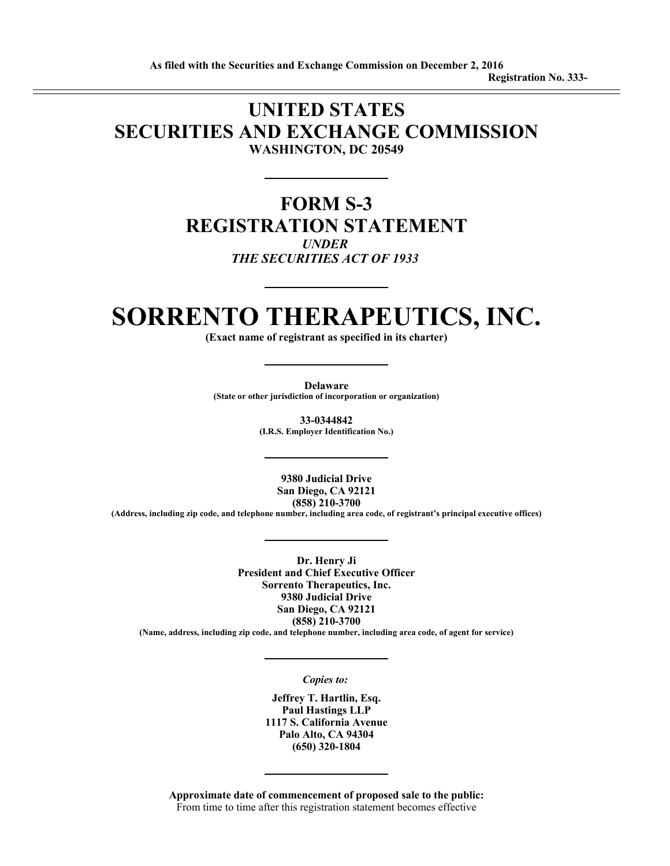## **UNITED STATES SECURITIES AND EXCHANGE COMMISSION WASHINGTON, DC 20549**

 $\overline{a}$ l

## **FORM S-3 REGISTRATION STATEMENT**  *UNDER THE SECURITIES ACT OF 1933*

# **SORRENTO THERAPEUTICS, INC.**

**(Exact name of registrant as specified in its charter)** 

**Delaware (State or other jurisdiction of incorporation or organization)** 

> **33-0344842 (I.R.S. Employer Identification No.)**

> > **9380 Judicial Drive San Diego, CA 92121 (858) 210-3700**

**(Address, including zip code, and telephone number, including area code, of registrant's principal executive offices)** 

**Dr. Henry Ji President and Chief Executive Officer Sorrento Therapeutics, Inc. 9380 Judicial Drive San Diego, CA 92121 (858) 210-3700** 

**(Name, address, including zip code, and telephone number, including area code, of agent for service)** 

*Copies to:* 

**Jeffrey T. Hartlin, Esq. Paul Hastings LLP 1117 S. California Avenue Palo Alto, CA 94304 (650) 320-1804** 

**Approximate date of commencement of proposed sale to the public:**  From time to time after this registration statement becomes effective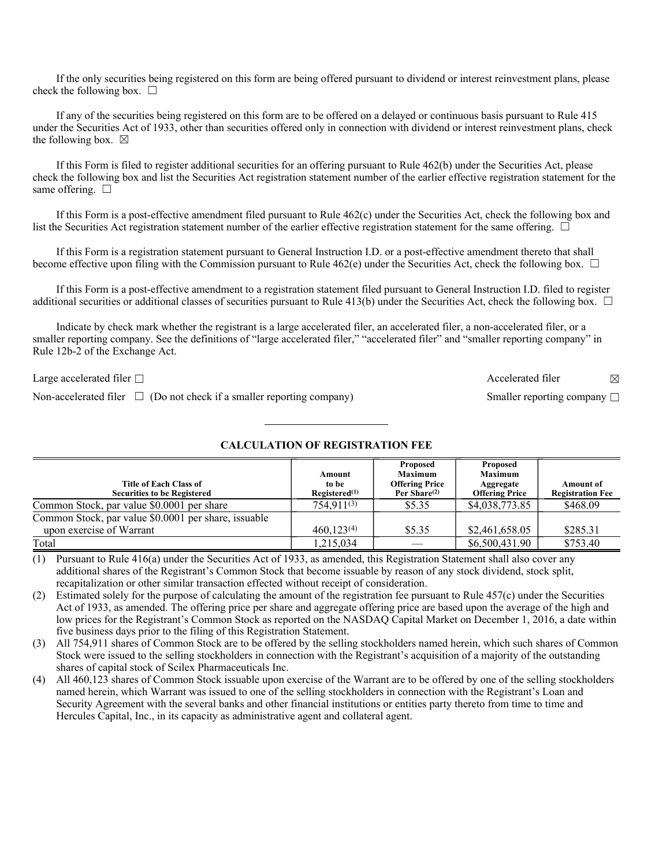If the only securities being registered on this form are being offered pursuant to dividend or interest reinvestment plans, please check the following box.  $\Box$ 

If any of the securities being registered on this form are to be offered on a delayed or continuous basis pursuant to Rule 415 under the Securities Act of 1933, other than securities offered only in connection with dividend or interest reinvestment plans, check the following box.  $\boxtimes$ 

If this Form is filed to register additional securities for an offering pursuant to Rule 462(b) under the Securities Act, please check the following box and list the Securities Act registration statement number of the earlier effective registration statement for the same offering.  $\Box$ 

If this Form is a post-effective amendment filed pursuant to Rule 462(c) under the Securities Act, check the following box and list the Securities Act registration statement number of the earlier effective registration statement for the same offering.  $\Box$ 

If this Form is a registration statement pursuant to General Instruction I.D. or a post-effective amendment thereto that shall become effective upon filing with the Commission pursuant to Rule 462(e) under the Securities Act, check the following box.  $\Box$ 

If this Form is a post-effective amendment to a registration statement filed pursuant to General Instruction I.D. filed to register additional securities or additional classes of securities pursuant to Rule 413(b) under the Securities Act, check the following box.  $\Box$ 

Indicate by check mark whether the registrant is a large accelerated filer, an accelerated filer, a non-accelerated filer, or a smaller reporting company. See the definitions of "large accelerated filer," "accelerated filer" and "smaller reporting company" in Rule 12b-2 of the Exchange Act.

Large accelerated filer ☐ Accelerated filer ☒

Non-accelerated filer □ (Do not check if a smaller reporting company) Smaller reporting company □

**Title of Each Class of Securities to be Registered Amount to be Registered(1) Proposed Maximum Offering Price Per Share(2) Proposed Maximum Aggregate Offering Price Amount of Registration Fee** Common Stock, par value \$0.0001 per share  $\begin{array}{|c|c|c|c|c|c|} \hline \end{array}$  754,911<sup>(3)</sup> \$5.35 \$4,038,773.85 \$468.09 Common Stock, par value \$0.0001 per share, issuable upon exercise of Warrant 460,123(4) \$5.35 \$2,461,658.05 \$285.31 Total 1,215,034 — \$6,500,431.90 \$753.40

#### **CALCULATION OF REGISTRATION FEE**

 (1) Pursuant to Rule 416(a) under the Securities Act of 1933, as amended, this Registration Statement shall also cover any additional shares of the Registrant's Common Stock that become issuable by reason of any stock dividend, stock split, recapitalization or other similar transaction effected without receipt of consideration.

(2) Estimated solely for the purpose of calculating the amount of the registration fee pursuant to Rule 457(c) under the Securities Act of 1933, as amended. The offering price per share and aggregate offering price are based upon the average of the high and low prices for the Registrant's Common Stock as reported on the NASDAQ Capital Market on December 1, 2016, a date within five business days prior to the filing of this Registration Statement.

(3) All 754,911 shares of Common Stock are to be offered by the selling stockholders named herein, which such shares of Common Stock were issued to the selling stockholders in connection with the Registrant's acquisition of a majority of the outstanding shares of capital stock of Scilex Pharmaceuticals Inc.

(4) All 460,123 shares of Common Stock issuable upon exercise of the Warrant are to be offered by one of the selling stockholders named herein, which Warrant was issued to one of the selling stockholders in connection with the Registrant's Loan and Security Agreement with the several banks and other financial institutions or entities party thereto from time to time and Hercules Capital, Inc., in its capacity as administrative agent and collateral agent.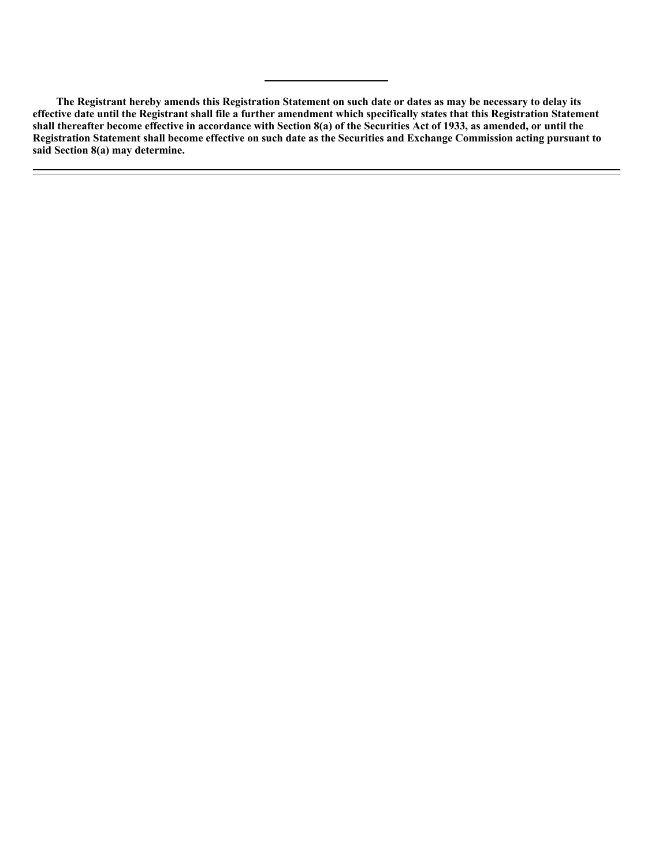**The Registrant hereby amends this Registration Statement on such date or dates as may be necessary to delay its effective date until the Registrant shall file a further amendment which specifically states that this Registration Statement shall thereafter become effective in accordance with Section 8(a) of the Securities Act of 1933, as amended, or until the Registration Statement shall become effective on such date as the Securities and Exchange Commission acting pursuant to said Section 8(a) may determine.** 

 $\overline{a}$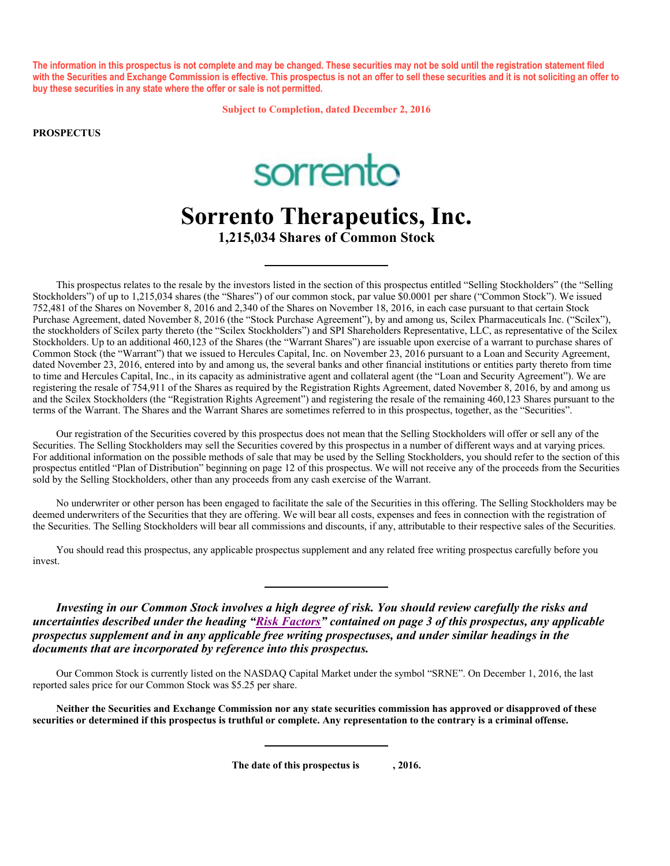**The information in this prospectus is not complete and may be changed. These securities may not be sold until the registration statement filed with the Securities and Exchange Commission is effective. This prospectus is not an offer to sell these securities and it is not soliciting an offer to buy these securities in any state where the offer or sale is not permitted.** 

**Subject to Completion, dated December 2, 2016** 

**PROSPECTUS** 

# sorrento

# **Sorrento Therapeutics, Inc.**

**1,215,034 Shares of Common Stock** 

This prospectus relates to the resale by the investors listed in the section of this prospectus entitled "Selling Stockholders" (the "Selling Stockholders") of up to 1,215,034 shares (the "Shares") of our common stock, par value \$0.0001 per share ("Common Stock"). We issued 752,481 of the Shares on November 8, 2016 and 2,340 of the Shares on November 18, 2016, in each case pursuant to that certain Stock Purchase Agreement, dated November 8, 2016 (the "Stock Purchase Agreement"), by and among us, Scilex Pharmaceuticals Inc. ("Scilex"), the stockholders of Scilex party thereto (the "Scilex Stockholders") and SPI Shareholders Representative, LLC, as representative of the Scilex Stockholders. Up to an additional 460,123 of the Shares (the "Warrant Shares") are issuable upon exercise of a warrant to purchase shares of Common Stock (the "Warrant") that we issued to Hercules Capital, Inc. on November 23, 2016 pursuant to a Loan and Security Agreement, dated November 23, 2016, entered into by and among us, the several banks and other financial institutions or entities party thereto from time to time and Hercules Capital, Inc., in its capacity as administrative agent and collateral agent (the "Loan and Security Agreement"). We are registering the resale of 754,911 of the Shares as required by the Registration Rights Agreement, dated November 8, 2016, by and among us and the Scilex Stockholders (the "Registration Rights Agreement") and registering the resale of the remaining 460,123 Shares pursuant to the terms of the Warrant. The Shares and the Warrant Shares are sometimes referred to in this prospectus, together, as the "Securities".

Our registration of the Securities covered by this prospectus does not mean that the Selling Stockholders will offer or sell any of the Securities. The Selling Stockholders may sell the Securities covered by this prospectus in a number of different ways and at varying prices. For additional information on the possible methods of sale that may be used by the Selling Stockholders, you should refer to the section of this prospectus entitled "Plan of Distribution" beginning on page 12 of this prospectus. We will not receive any of the proceeds from the Securities sold by the Selling Stockholders, other than any proceeds from any cash exercise of the Warrant.

No underwriter or other person has been engaged to facilitate the sale of the Securities in this offering. The Selling Stockholders may be deemed underwriters of the Securities that they are offering. We will bear all costs, expenses and fees in connection with the registration of the Securities. The Selling Stockholders will bear all commissions and discounts, if any, attributable to their respective sales of the Securities.

You should read this prospectus, any applicable prospectus supplement and any related free writing prospectus carefully before you invest.

*Investing in our Common Stock involves a high degree of risk. You should review carefully the risks and uncertainties described under the heading "Risk Factors" contained on page 3 of this prospectus, any applicable prospectus supplement and in any applicable free writing prospectuses, and under similar headings in the documents that are incorporated by reference into this prospectus.*

Our Common Stock is currently listed on the NASDAQ Capital Market under the symbol "SRNE". On December 1, 2016, the last reported sales price for our Common Stock was \$5.25 per share.

**Neither the Securities and Exchange Commission nor any state securities commission has approved or disapproved of these securities or determined if this prospectus is truthful or complete. Any representation to the contrary is a criminal offense.** 

**The date of this prospectus is , 2016.**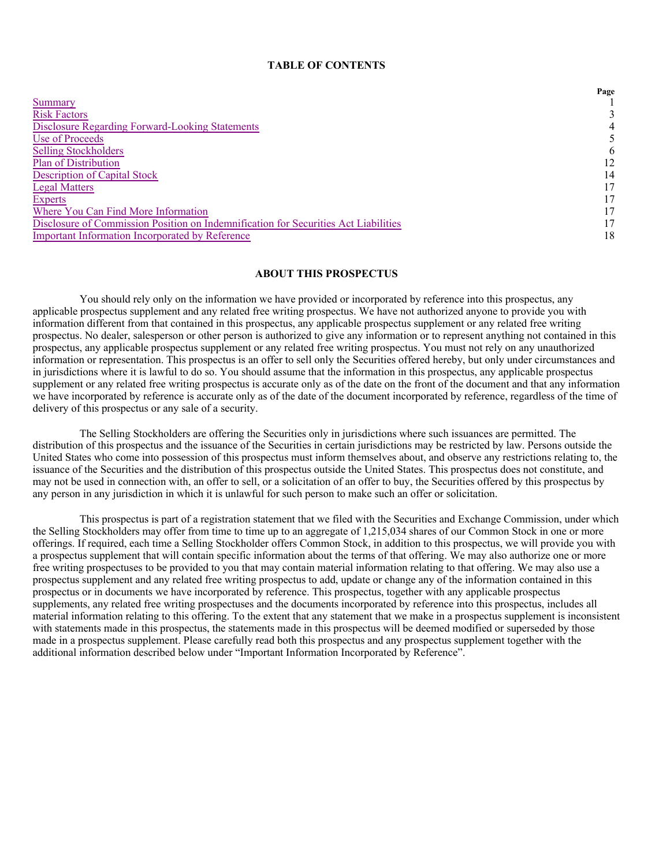#### **TABLE OF CONTENTS**

|                                                                                     | Page |
|-------------------------------------------------------------------------------------|------|
| Summary                                                                             |      |
| <b>Risk Factors</b>                                                                 |      |
| <b>Disclosure Regarding Forward-Looking Statements</b>                              |      |
| <b>Use of Proceeds</b>                                                              |      |
| <b>Selling Stockholders</b>                                                         | 6    |
| <b>Plan of Distribution</b>                                                         | 12   |
| <b>Description of Capital Stock</b>                                                 | 14   |
| <b>Legal Matters</b>                                                                |      |
| <b>Experts</b>                                                                      |      |
| Where You Can Find More Information                                                 |      |
| Disclosure of Commission Position on Indemnification for Securities Act Liabilities |      |
| <b>Important Information Incorporated by Reference</b>                              | 18   |
|                                                                                     |      |

#### **ABOUT THIS PROSPECTUS**

You should rely only on the information we have provided or incorporated by reference into this prospectus, any applicable prospectus supplement and any related free writing prospectus. We have not authorized anyone to provide you with information different from that contained in this prospectus, any applicable prospectus supplement or any related free writing prospectus. No dealer, salesperson or other person is authorized to give any information or to represent anything not contained in this prospectus, any applicable prospectus supplement or any related free writing prospectus. You must not rely on any unauthorized information or representation. This prospectus is an offer to sell only the Securities offered hereby, but only under circumstances and in jurisdictions where it is lawful to do so. You should assume that the information in this prospectus, any applicable prospectus supplement or any related free writing prospectus is accurate only as of the date on the front of the document and that any information we have incorporated by reference is accurate only as of the date of the document incorporated by reference, regardless of the time of delivery of this prospectus or any sale of a security.

The Selling Stockholders are offering the Securities only in jurisdictions where such issuances are permitted. The distribution of this prospectus and the issuance of the Securities in certain jurisdictions may be restricted by law. Persons outside the United States who come into possession of this prospectus must inform themselves about, and observe any restrictions relating to, the issuance of the Securities and the distribution of this prospectus outside the United States. This prospectus does not constitute, and may not be used in connection with, an offer to sell, or a solicitation of an offer to buy, the Securities offered by this prospectus by any person in any jurisdiction in which it is unlawful for such person to make such an offer or solicitation.

This prospectus is part of a registration statement that we filed with the Securities and Exchange Commission, under which the Selling Stockholders may offer from time to time up to an aggregate of 1,215,034 shares of our Common Stock in one or more offerings. If required, each time a Selling Stockholder offers Common Stock, in addition to this prospectus, we will provide you with a prospectus supplement that will contain specific information about the terms of that offering. We may also authorize one or more free writing prospectuses to be provided to you that may contain material information relating to that offering. We may also use a prospectus supplement and any related free writing prospectus to add, update or change any of the information contained in this prospectus or in documents we have incorporated by reference. This prospectus, together with any applicable prospectus supplements, any related free writing prospectuses and the documents incorporated by reference into this prospectus, includes all material information relating to this offering. To the extent that any statement that we make in a prospectus supplement is inconsistent with statements made in this prospectus, the statements made in this prospectus will be deemed modified or superseded by those made in a prospectus supplement. Please carefully read both this prospectus and any prospectus supplement together with the additional information described below under "Important Information Incorporated by Reference".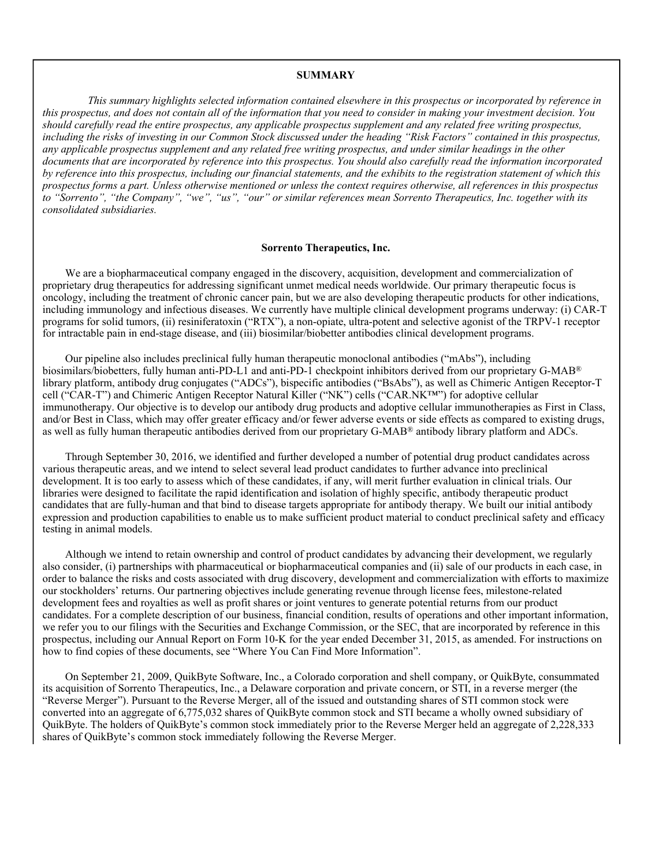#### **SUMMARY**

*This summary highlights selected information contained elsewhere in this prospectus or incorporated by reference in this prospectus, and does not contain all of the information that you need to consider in making your investment decision. You should carefully read the entire prospectus, any applicable prospectus supplement and any related free writing prospectus, including the risks of investing in our Common Stock discussed under the heading "Risk Factors" contained in this prospectus, any applicable prospectus supplement and any related free writing prospectus, and under similar headings in the other documents that are incorporated by reference into this prospectus. You should also carefully read the information incorporated by reference into this prospectus, including our financial statements, and the exhibits to the registration statement of which this prospectus forms a part. Unless otherwise mentioned or unless the context requires otherwise, all references in this prospectus to "Sorrento", "the Company", "we", "us", "our" or similar references mean Sorrento Therapeutics, Inc. together with its consolidated subsidiaries.* 

#### **Sorrento Therapeutics, Inc.**

We are a biopharmaceutical company engaged in the discovery, acquisition, development and commercialization of proprietary drug therapeutics for addressing significant unmet medical needs worldwide. Our primary therapeutic focus is oncology, including the treatment of chronic cancer pain, but we are also developing therapeutic products for other indications, including immunology and infectious diseases. We currently have multiple clinical development programs underway: (i) CAR-T programs for solid tumors, (ii) resiniferatoxin ("RTX"), a non-opiate, ultra-potent and selective agonist of the TRPV-1 receptor for intractable pain in end-stage disease, and (iii) biosimilar/biobetter antibodies clinical development programs.

Our pipeline also includes preclinical fully human therapeutic monoclonal antibodies ("mAbs"), including biosimilars/biobetters, fully human anti-PD-L1 and anti-PD-1 checkpoint inhibitors derived from our proprietary G-MAB® library platform, antibody drug conjugates ("ADCs"), bispecific antibodies ("BsAbs"), as well as Chimeric Antigen Receptor-T cell ("CAR-T") and Chimeric Antigen Receptor Natural Killer ("NK") cells ("CAR.NK™") for adoptive cellular immunotherapy. Our objective is to develop our antibody drug products and adoptive cellular immunotherapies as First in Class, and/or Best in Class, which may offer greater efficacy and/or fewer adverse events or side effects as compared to existing drugs, as well as fully human therapeutic antibodies derived from our proprietary G-MAB® antibody library platform and ADCs.

Through September 30, 2016, we identified and further developed a number of potential drug product candidates across various therapeutic areas, and we intend to select several lead product candidates to further advance into preclinical development. It is too early to assess which of these candidates, if any, will merit further evaluation in clinical trials. Our libraries were designed to facilitate the rapid identification and isolation of highly specific, antibody therapeutic product candidates that are fully-human and that bind to disease targets appropriate for antibody therapy. We built our initial antibody expression and production capabilities to enable us to make sufficient product material to conduct preclinical safety and efficacy testing in animal models.

Although we intend to retain ownership and control of product candidates by advancing their development, we regularly also consider, (i) partnerships with pharmaceutical or biopharmaceutical companies and (ii) sale of our products in each case, in order to balance the risks and costs associated with drug discovery, development and commercialization with efforts to maximize our stockholders' returns. Our partnering objectives include generating revenue through license fees, milestone-related development fees and royalties as well as profit shares or joint ventures to generate potential returns from our product candidates. For a complete description of our business, financial condition, results of operations and other important information, we refer you to our filings with the Securities and Exchange Commission, or the SEC, that are incorporated by reference in this prospectus, including our Annual Report on Form 10-K for the year ended December 31, 2015, as amended. For instructions on how to find copies of these documents, see "Where You Can Find More Information".

On September 21, 2009, QuikByte Software, Inc., a Colorado corporation and shell company, or QuikByte, consummated its acquisition of Sorrento Therapeutics, Inc., a Delaware corporation and private concern, or STI, in a reverse merger (the "Reverse Merger"). Pursuant to the Reverse Merger, all of the issued and outstanding shares of STI common stock were converted into an aggregate of 6,775,032 shares of QuikByte common stock and STI became a wholly owned subsidiary of QuikByte. The holders of QuikByte's common stock immediately prior to the Reverse Merger held an aggregate of 2,228,333 shares of QuikByte's common stock immediately following the Reverse Merger.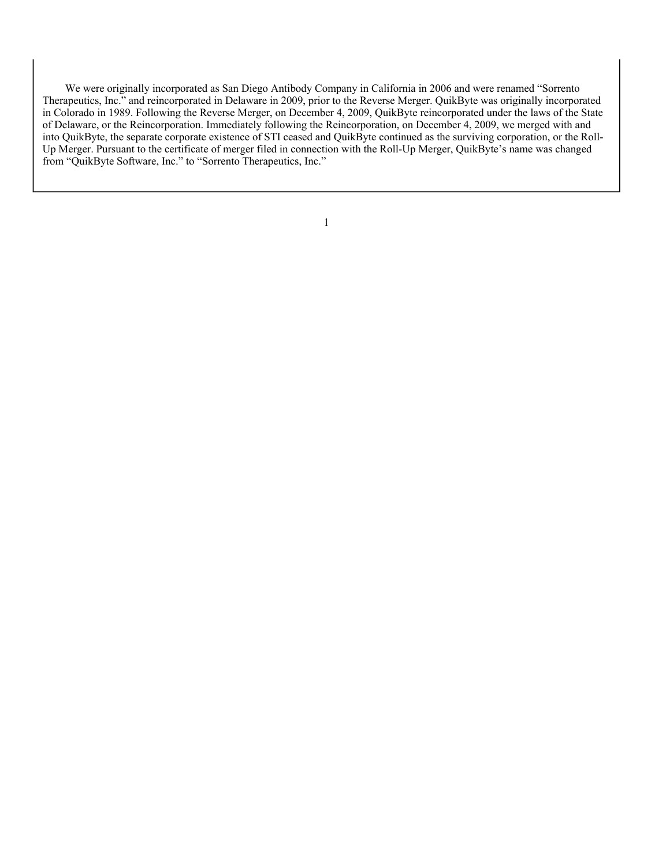We were originally incorporated as San Diego Antibody Company in California in 2006 and were renamed "Sorrento Therapeutics, Inc." and reincorporated in Delaware in 2009, prior to the Reverse Merger. QuikByte was originally incorporated in Colorado in 1989. Following the Reverse Merger, on December 4, 2009, QuikByte reincorporated under the laws of the State of Delaware, or the Reincorporation. Immediately following the Reincorporation, on December 4, 2009, we merged with and into QuikByte, the separate corporate existence of STI ceased and QuikByte continued as the surviving corporation, or the Roll-Up Merger. Pursuant to the certificate of merger filed in connection with the Roll-Up Merger, QuikByte's name was changed from "QuikByte Software, Inc." to "Sorrento Therapeutics, Inc."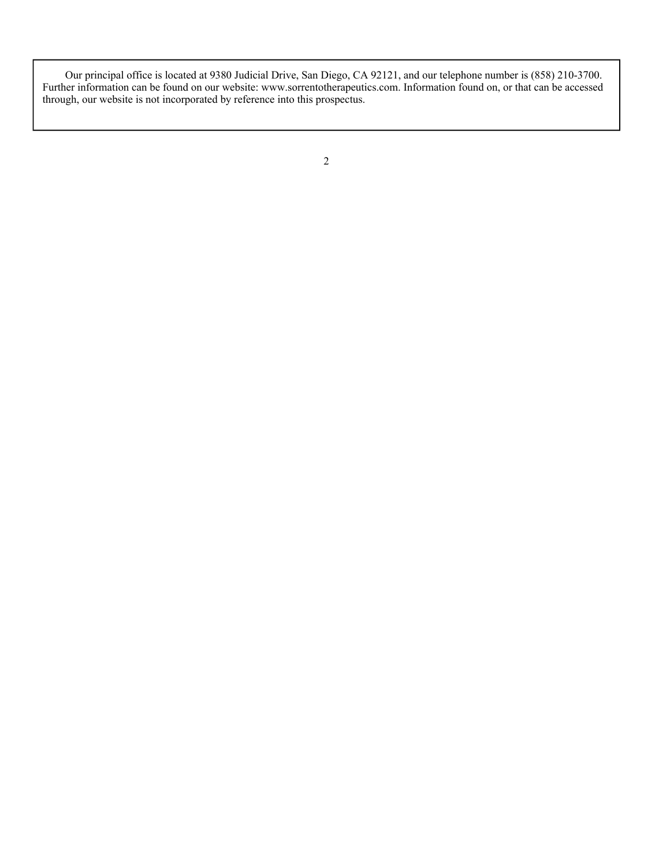Our principal office is located at 9380 Judicial Drive, San Diego, CA 92121, and our telephone number is (858) 210-3700. Further information can be found on our website: www.sorrentotherapeutics.com. Information found on, or that can be accessed through, our website is not incorporated by reference into this prospectus.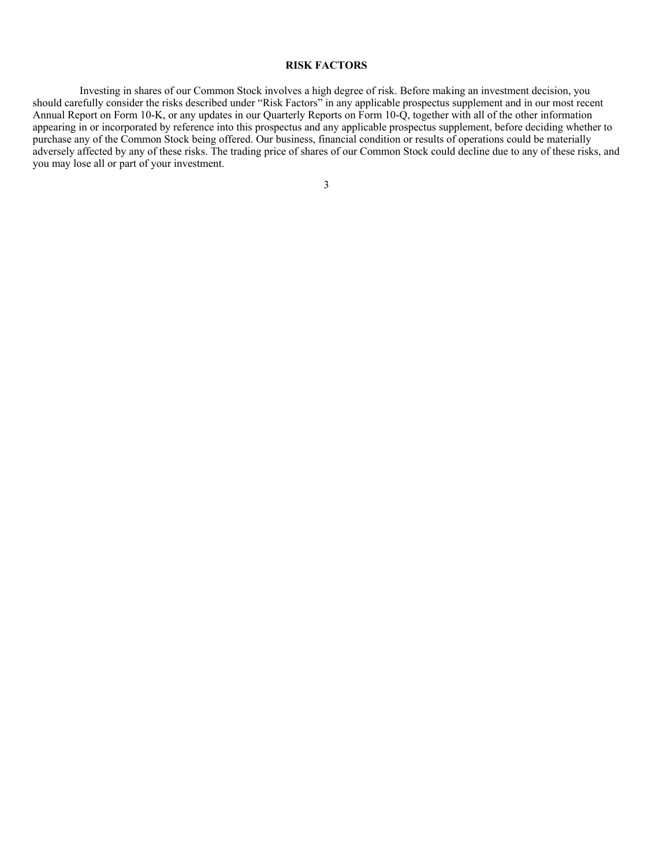#### **RISK FACTORS**

Investing in shares of our Common Stock involves a high degree of risk. Before making an investment decision, you should carefully consider the risks described under "Risk Factors" in any applicable prospectus supplement and in our most recent Annual Report on Form 10-K, or any updates in our Quarterly Reports on Form 10-Q, together with all of the other information appearing in or incorporated by reference into this prospectus and any applicable prospectus supplement, before deciding whether to purchase any of the Common Stock being offered. Our business, financial condition or results of operations could be materially adversely affected by any of these risks. The trading price of shares of our Common Stock could decline due to any of these risks, and you may lose all or part of your investment.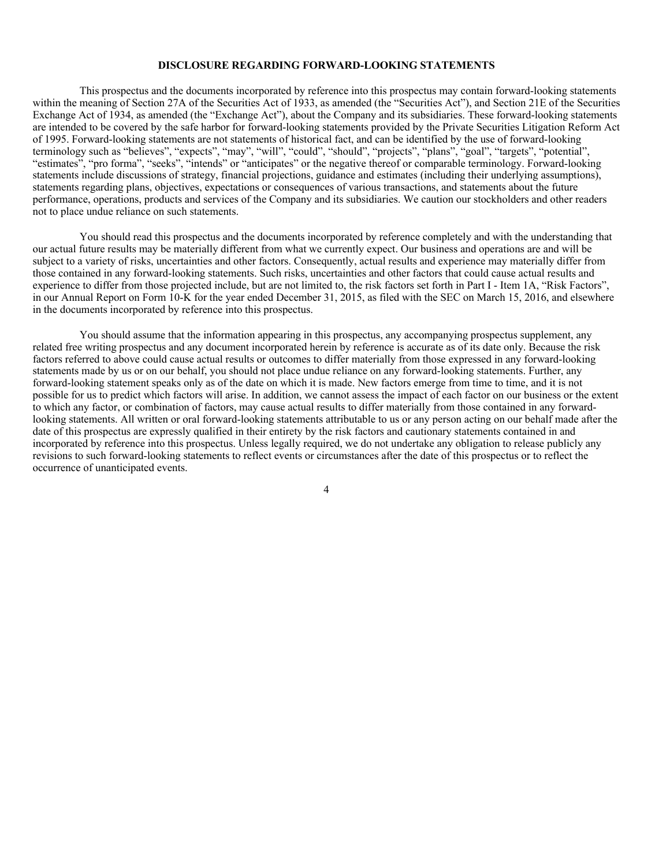#### **DISCLOSURE REGARDING FORWARD-LOOKING STATEMENTS**

This prospectus and the documents incorporated by reference into this prospectus may contain forward-looking statements within the meaning of Section 27A of the Securities Act of 1933, as amended (the "Securities Act"), and Section 21E of the Securities Exchange Act of 1934, as amended (the "Exchange Act"), about the Company and its subsidiaries. These forward-looking statements are intended to be covered by the safe harbor for forward-looking statements provided by the Private Securities Litigation Reform Act of 1995. Forward-looking statements are not statements of historical fact, and can be identified by the use of forward-looking terminology such as "believes", "expects", "may", "will", "could", "should", "projects", "plans", "goal", "targets", "potential", "estimates", "pro forma", "seeks", "intends" or "anticipates" or the negative thereof or comparable terminology. Forward-looking statements include discussions of strategy, financial projections, guidance and estimates (including their underlying assumptions), statements regarding plans, objectives, expectations or consequences of various transactions, and statements about the future performance, operations, products and services of the Company and its subsidiaries. We caution our stockholders and other readers not to place undue reliance on such statements.

You should read this prospectus and the documents incorporated by reference completely and with the understanding that our actual future results may be materially different from what we currently expect. Our business and operations are and will be subject to a variety of risks, uncertainties and other factors. Consequently, actual results and experience may materially differ from those contained in any forward-looking statements. Such risks, uncertainties and other factors that could cause actual results and experience to differ from those projected include, but are not limited to, the risk factors set forth in Part I - Item 1A, "Risk Factors", in our Annual Report on Form 10-K for the year ended December 31, 2015, as filed with the SEC on March 15, 2016, and elsewhere in the documents incorporated by reference into this prospectus.

You should assume that the information appearing in this prospectus, any accompanying prospectus supplement, any related free writing prospectus and any document incorporated herein by reference is accurate as of its date only. Because the risk factors referred to above could cause actual results or outcomes to differ materially from those expressed in any forward-looking statements made by us or on our behalf, you should not place undue reliance on any forward-looking statements. Further, any forward-looking statement speaks only as of the date on which it is made. New factors emerge from time to time, and it is not possible for us to predict which factors will arise. In addition, we cannot assess the impact of each factor on our business or the extent to which any factor, or combination of factors, may cause actual results to differ materially from those contained in any forwardlooking statements. All written or oral forward-looking statements attributable to us or any person acting on our behalf made after the date of this prospectus are expressly qualified in their entirety by the risk factors and cautionary statements contained in and incorporated by reference into this prospectus. Unless legally required, we do not undertake any obligation to release publicly any revisions to such forward-looking statements to reflect events or circumstances after the date of this prospectus or to reflect the occurrence of unanticipated events.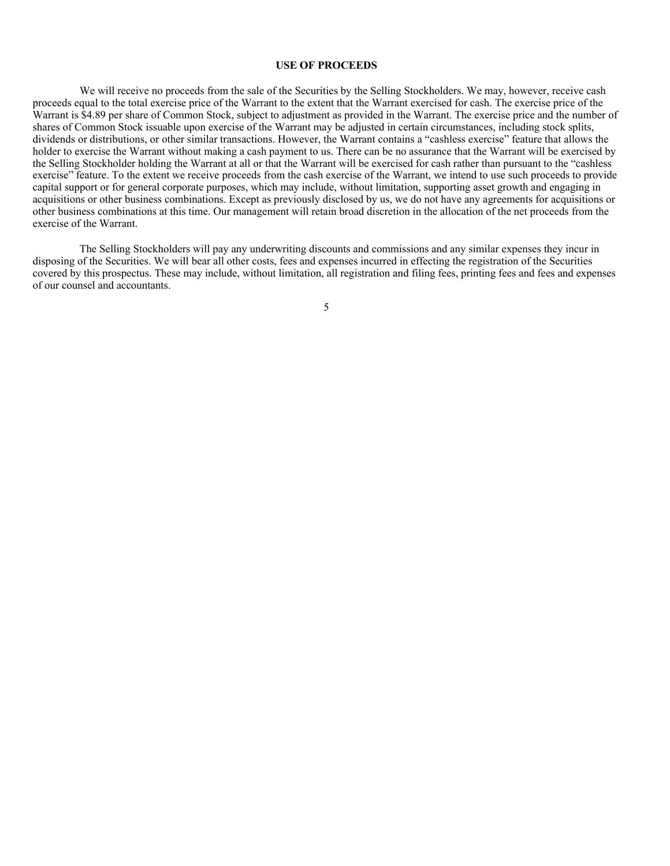#### **USE OF PROCEEDS**

We will receive no proceeds from the sale of the Securities by the Selling Stockholders. We may, however, receive cash proceeds equal to the total exercise price of the Warrant to the extent that the Warrant exercised for cash. The exercise price of the Warrant is \$4.89 per share of Common Stock, subject to adjustment as provided in the Warrant. The exercise price and the number of shares of Common Stock issuable upon exercise of the Warrant may be adjusted in certain circumstances, including stock splits, dividends or distributions, or other similar transactions. However, the Warrant contains a "cashless exercise" feature that allows the holder to exercise the Warrant without making a cash payment to us. There can be no assurance that the Warrant will be exercised by the Selling Stockholder holding the Warrant at all or that the Warrant will be exercised for cash rather than pursuant to the "cashless exercise" feature. To the extent we receive proceeds from the cash exercise of the Warrant, we intend to use such proceeds to provide capital support or for general corporate purposes, which may include, without limitation, supporting asset growth and engaging in acquisitions or other business combinations. Except as previously disclosed by us, we do not have any agreements for acquisitions or other business combinations at this time. Our management will retain broad discretion in the allocation of the net proceeds from the exercise of the Warrant.

The Selling Stockholders will pay any underwriting discounts and commissions and any similar expenses they incur in disposing of the Securities. We will bear all other costs, fees and expenses incurred in effecting the registration of the Securities covered by this prospectus. These may include, without limitation, all registration and filing fees, printing fees and fees and expenses of our counsel and accountants.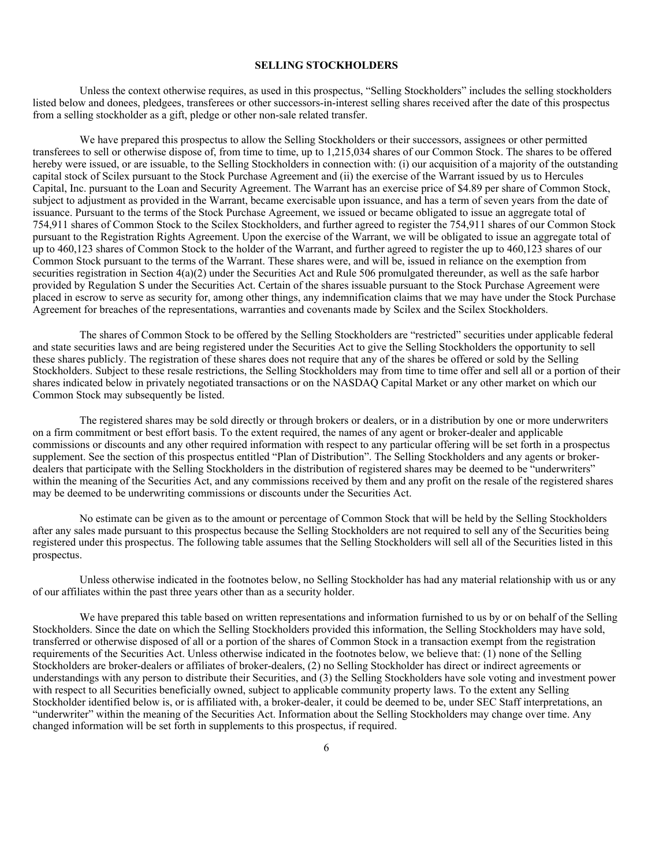#### **SELLING STOCKHOLDERS**

Unless the context otherwise requires, as used in this prospectus, "Selling Stockholders" includes the selling stockholders listed below and donees, pledgees, transferees or other successors-in-interest selling shares received after the date of this prospectus from a selling stockholder as a gift, pledge or other non-sale related transfer.

We have prepared this prospectus to allow the Selling Stockholders or their successors, assignees or other permitted transferees to sell or otherwise dispose of, from time to time, up to 1,215,034 shares of our Common Stock. The shares to be offered hereby were issued, or are issuable, to the Selling Stockholders in connection with: (i) our acquisition of a majority of the outstanding capital stock of Scilex pursuant to the Stock Purchase Agreement and (ii) the exercise of the Warrant issued by us to Hercules Capital, Inc. pursuant to the Loan and Security Agreement. The Warrant has an exercise price of \$4.89 per share of Common Stock, subject to adjustment as provided in the Warrant, became exercisable upon issuance, and has a term of seven years from the date of issuance. Pursuant to the terms of the Stock Purchase Agreement, we issued or became obligated to issue an aggregate total of 754,911 shares of Common Stock to the Scilex Stockholders, and further agreed to register the 754,911 shares of our Common Stock pursuant to the Registration Rights Agreement. Upon the exercise of the Warrant, we will be obligated to issue an aggregate total of up to 460,123 shares of Common Stock to the holder of the Warrant, and further agreed to register the up to 460,123 shares of our Common Stock pursuant to the terms of the Warrant. These shares were, and will be, issued in reliance on the exemption from securities registration in Section 4(a)(2) under the Securities Act and Rule 506 promulgated thereunder, as well as the safe harbor provided by Regulation S under the Securities Act. Certain of the shares issuable pursuant to the Stock Purchase Agreement were placed in escrow to serve as security for, among other things, any indemnification claims that we may have under the Stock Purchase Agreement for breaches of the representations, warranties and covenants made by Scilex and the Scilex Stockholders.

The shares of Common Stock to be offered by the Selling Stockholders are "restricted" securities under applicable federal and state securities laws and are being registered under the Securities Act to give the Selling Stockholders the opportunity to sell these shares publicly. The registration of these shares does not require that any of the shares be offered or sold by the Selling Stockholders. Subject to these resale restrictions, the Selling Stockholders may from time to time offer and sell all or a portion of their shares indicated below in privately negotiated transactions or on the NASDAQ Capital Market or any other market on which our Common Stock may subsequently be listed.

The registered shares may be sold directly or through brokers or dealers, or in a distribution by one or more underwriters on a firm commitment or best effort basis. To the extent required, the names of any agent or broker-dealer and applicable commissions or discounts and any other required information with respect to any particular offering will be set forth in a prospectus supplement. See the section of this prospectus entitled "Plan of Distribution". The Selling Stockholders and any agents or brokerdealers that participate with the Selling Stockholders in the distribution of registered shares may be deemed to be "underwriters" within the meaning of the Securities Act, and any commissions received by them and any profit on the resale of the registered shares may be deemed to be underwriting commissions or discounts under the Securities Act.

No estimate can be given as to the amount or percentage of Common Stock that will be held by the Selling Stockholders after any sales made pursuant to this prospectus because the Selling Stockholders are not required to sell any of the Securities being registered under this prospectus. The following table assumes that the Selling Stockholders will sell all of the Securities listed in this prospectus.

Unless otherwise indicated in the footnotes below, no Selling Stockholder has had any material relationship with us or any of our affiliates within the past three years other than as a security holder.

We have prepared this table based on written representations and information furnished to us by or on behalf of the Selling Stockholders. Since the date on which the Selling Stockholders provided this information, the Selling Stockholders may have sold, transferred or otherwise disposed of all or a portion of the shares of Common Stock in a transaction exempt from the registration requirements of the Securities Act. Unless otherwise indicated in the footnotes below, we believe that: (1) none of the Selling Stockholders are broker-dealers or affiliates of broker-dealers, (2) no Selling Stockholder has direct or indirect agreements or understandings with any person to distribute their Securities, and (3) the Selling Stockholders have sole voting and investment power with respect to all Securities beneficially owned, subject to applicable community property laws. To the extent any Selling Stockholder identified below is, or is affiliated with, a broker-dealer, it could be deemed to be, under SEC Staff interpretations, an "underwriter" within the meaning of the Securities Act. Information about the Selling Stockholders may change over time. Any changed information will be set forth in supplements to this prospectus, if required.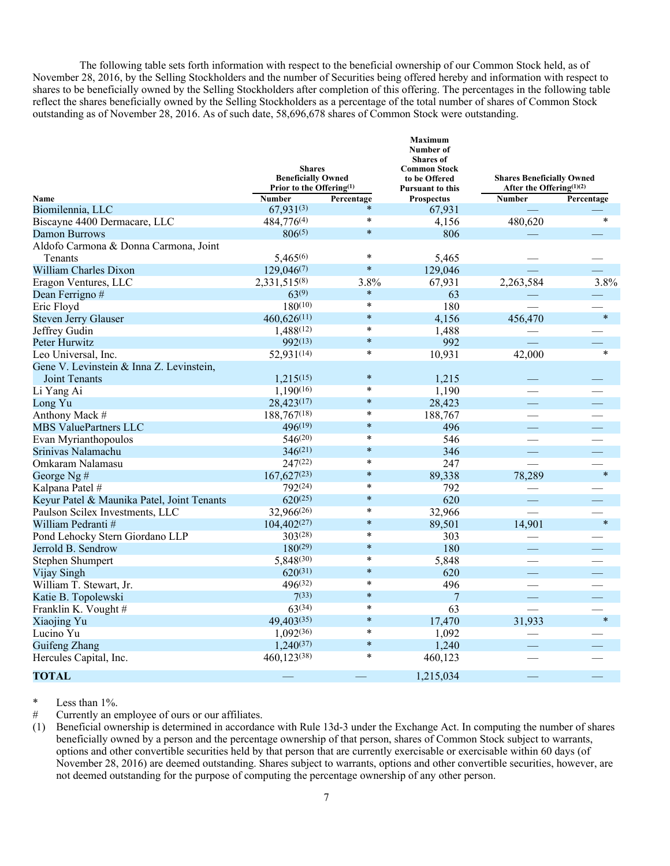The following table sets forth information with respect to the beneficial ownership of our Common Stock held, as of November 28, 2016, by the Selling Stockholders and the number of Securities being offered hereby and information with respect to shares to be beneficially owned by the Selling Stockholders after completion of this offering. The percentages in the following table reflect the shares beneficially owned by the Selling Stockholders as a percentage of the total number of shares of Common Stock outstanding as of November 28, 2016. As of such date, 58,696,678 shares of Common Stock were outstanding.

|                                            | <b>Shares</b><br><b>Beneficially Owned</b><br>Prior to the Offering $(1)$ |            | <b>Maximum</b><br>Number of<br><b>Shares</b> of<br><b>Common Stock</b><br>to be Offered<br><b>Pursuant to this</b> | <b>Shares Beneficially Owned</b><br>After the Offering $(1)(2)$ |            |
|--------------------------------------------|---------------------------------------------------------------------------|------------|--------------------------------------------------------------------------------------------------------------------|-----------------------------------------------------------------|------------|
| Name                                       | Number                                                                    | Percentage | <b>Prospectus</b>                                                                                                  | <b>Number</b>                                                   | Percentage |
| Biomilennia, LLC                           | $67,931^{(3)}$                                                            | $\ast$     | 67,931                                                                                                             |                                                                 |            |
| Biscayne 4400 Dermacare, LLC               | 484,776(4)                                                                | $\ast$     | 4,156                                                                                                              | 480,620                                                         | $\ast$     |
| Damon Burrows                              | $806^{(5)}$                                                               | $\ast$     | 806                                                                                                                |                                                                 |            |
| Aldofo Carmona & Donna Carmona, Joint      |                                                                           |            |                                                                                                                    |                                                                 |            |
| Tenants                                    | $5,465^{(6)}$                                                             | $\ast$     | 5,465                                                                                                              |                                                                 |            |
| William Charles Dixon                      | 129,046(7)                                                                | $\ast$     | 129,046                                                                                                            |                                                                 |            |
| Eragon Ventures, LLC                       | 2,331,515(8)                                                              | 3.8%       | 67,931                                                                                                             | 2,263,584                                                       | 3.8%       |
| Dean Ferrigno#                             | $63^{(9)}$                                                                | $\ast$     | 63                                                                                                                 |                                                                 |            |
| Eric Floyd                                 | $180^{(10)}$                                                              | $\ast$     | 180                                                                                                                |                                                                 |            |
| <b>Steven Jerry Glauser</b>                | $460,626^{(11)}$                                                          | $\ast$     | 4,156                                                                                                              | 456,470                                                         | $\ast$     |
| Jeffrey Gudin                              | 1,488(12)                                                                 | $\ast$     | 1,488                                                                                                              |                                                                 |            |
| Peter Hurwitz                              | 992(13)                                                                   | $\ast$     | 992                                                                                                                |                                                                 |            |
| Leo Universal, Inc.                        | $52,931^{(14)}$                                                           | $\ast$     | 10,931                                                                                                             | 42,000                                                          | $\ast$     |
| Gene V. Levinstein & Inna Z. Levinstein,   |                                                                           |            |                                                                                                                    |                                                                 |            |
| <b>Joint Tenants</b>                       | $1,215^{(15)}$                                                            | $\ast$     | 1,215                                                                                                              |                                                                 |            |
| Li Yang Ai                                 | 1,190(16)                                                                 | $\ast$     | 1,190                                                                                                              |                                                                 |            |
| Long Yu                                    | 28,423(17)                                                                | $\ast$     | 28,423                                                                                                             |                                                                 |            |
| Anthony Mack #                             | 188,767(18)                                                               | $\ast$     | 188,767                                                                                                            |                                                                 |            |
| <b>MBS ValuePartners LLC</b>               | 496(19)                                                                   | $\ast$     | 496                                                                                                                |                                                                 |            |
| Evan Myrianthopoulos                       | $546^{(20)}$                                                              | $\ast$     | 546                                                                                                                |                                                                 |            |
| Srinivas Nalamachu                         | $346^{(21)}$                                                              | $\ast$     | 346                                                                                                                | $\overline{\phantom{a}}$                                        |            |
| Omkaram Nalamasu                           | $247^{(22)}$                                                              | $\ast$     | 247                                                                                                                |                                                                 |            |
| George Ng#                                 | $167,627^{(23)}$                                                          | $\ast$     | 89,338                                                                                                             | 78,289                                                          | $\ast$     |
| Kalpana Patel #                            | 792(24)                                                                   | $\ast$     | 792                                                                                                                |                                                                 |            |
| Keyur Patel & Maunika Patel, Joint Tenants | $620^{(25)}$                                                              | $\ast$     | 620                                                                                                                | $\overline{\phantom{0}}$                                        |            |
| Paulson Scilex Investments, LLC            | 32,966(26)                                                                | $\ast$     | 32,966                                                                                                             |                                                                 |            |
| William Pedranti#                          | $104,402^{(27)}$                                                          | $\ast$     | 89,501                                                                                                             | 14,901                                                          | $\ast$     |
| Pond Lehocky Stern Giordano LLP            | $303^{(28)}$                                                              | $\ast$     | 303                                                                                                                |                                                                 |            |
| Jerrold B. Sendrow                         | $180^{(29)}$                                                              | $\ast$     | 180                                                                                                                |                                                                 |            |
| Stephen Shumpert                           | 5,848(30)                                                                 | $\ast$     | 5,848                                                                                                              |                                                                 |            |
| Vijay Singh                                | $620^{(31)}$                                                              | $\ast$     | 620                                                                                                                |                                                                 |            |
| William T. Stewart, Jr.                    | $496^{(32)}$                                                              | $\ast$     | 496                                                                                                                |                                                                 |            |
| Katie B. Topolewski                        | 7(33)                                                                     | $\ast$     | 7                                                                                                                  | $\sim$                                                          |            |
| Franklin K. Vought#                        | $63^{(34)}$                                                               | $\ast$     | 63                                                                                                                 |                                                                 |            |
| Xiaojing Yu                                | 49,403(35)                                                                | $\ast$     | 17,470                                                                                                             | 31,933                                                          | $\ast$     |
| Lucino Yu                                  | $1,092^{(36)}$                                                            | $\ast$     | 1,092                                                                                                              |                                                                 |            |
| Guifeng Zhang                              | $1,240^{(37)}$                                                            | $\ast$     | 1,240                                                                                                              |                                                                 |            |
| Hercules Capital, Inc.                     | 460,123 <sup>(38)</sup>                                                   | $\ast$     | 460,123                                                                                                            |                                                                 |            |
| <b>TOTAL</b>                               |                                                                           |            | 1,215,034                                                                                                          |                                                                 |            |

\* Less than  $1\%$ .<br># Currently an example

Currently an employee of ours or our affiliates.

(1) Beneficial ownership is determined in accordance with Rule 13d-3 under the Exchange Act. In computing the number of shares beneficially owned by a person and the percentage ownership of that person, shares of Common Stock subject to warrants, options and other convertible securities held by that person that are currently exercisable or exercisable within 60 days (of November 28, 2016) are deemed outstanding. Shares subject to warrants, options and other convertible securities, however, are not deemed outstanding for the purpose of computing the percentage ownership of any other person.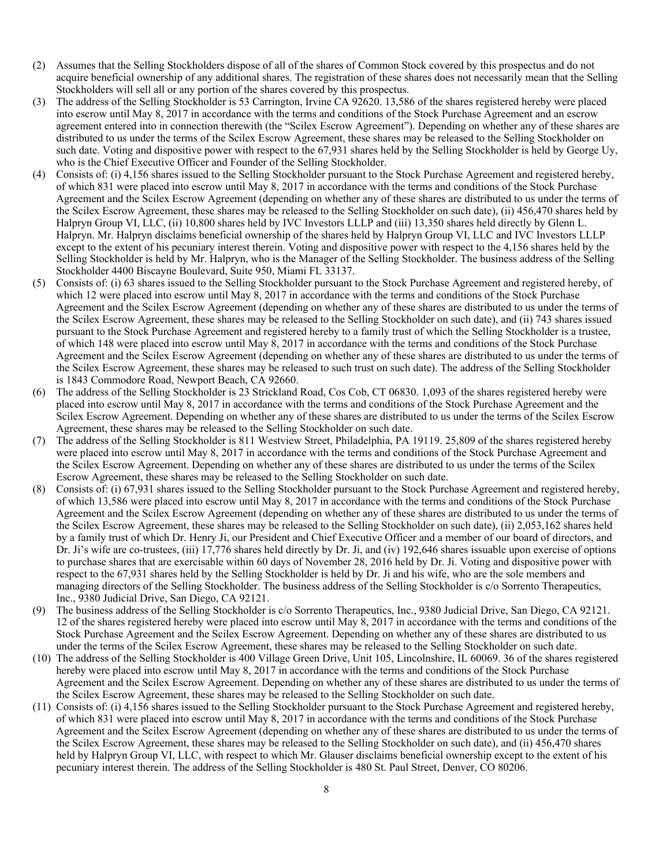- (2) Assumes that the Selling Stockholders dispose of all of the shares of Common Stock covered by this prospectus and do not acquire beneficial ownership of any additional shares. The registration of these shares does not necessarily mean that the Selling Stockholders will sell all or any portion of the shares covered by this prospectus.
- (3) The address of the Selling Stockholder is 53 Carrington, Irvine CA 92620. 13,586 of the shares registered hereby were placed into escrow until May 8, 2017 in accordance with the terms and conditions of the Stock Purchase Agreement and an escrow agreement entered into in connection therewith (the "Scilex Escrow Agreement"). Depending on whether any of these shares are distributed to us under the terms of the Scilex Escrow Agreement, these shares may be released to the Selling Stockholder on such date. Voting and dispositive power with respect to the 67,931 shares held by the Selling Stockholder is held by George Uy, who is the Chief Executive Officer and Founder of the Selling Stockholder.
- (4) Consists of: (i) 4,156 shares issued to the Selling Stockholder pursuant to the Stock Purchase Agreement and registered hereby, of which 831 were placed into escrow until May 8, 2017 in accordance with the terms and conditions of the Stock Purchase Agreement and the Scilex Escrow Agreement (depending on whether any of these shares are distributed to us under the terms of the Scilex Escrow Agreement, these shares may be released to the Selling Stockholder on such date), (ii) 456,470 shares held by Halpryn Group VI, LLC, (ii) 10,800 shares held by IVC Investors LLLP and (iii) 13,350 shares held directly by Glenn L. Halpryn. Mr. Halpryn disclaims beneficial ownership of the shares held by Halpryn Group VI, LLC and IVC Investors LLLP except to the extent of his pecuniary interest therein. Voting and dispositive power with respect to the 4,156 shares held by the Selling Stockholder is held by Mr. Halpryn, who is the Manager of the Selling Stockholder. The business address of the Selling Stockholder 4400 Biscayne Boulevard, Suite 950, Miami FL 33137.
- (5) Consists of: (i) 63 shares issued to the Selling Stockholder pursuant to the Stock Purchase Agreement and registered hereby, of which 12 were placed into escrow until May 8, 2017 in accordance with the terms and conditions of the Stock Purchase Agreement and the Scilex Escrow Agreement (depending on whether any of these shares are distributed to us under the terms of the Scilex Escrow Agreement, these shares may be released to the Selling Stockholder on such date), and (ii) 743 shares issued pursuant to the Stock Purchase Agreement and registered hereby to a family trust of which the Selling Stockholder is a trustee, of which 148 were placed into escrow until May 8, 2017 in accordance with the terms and conditions of the Stock Purchase Agreement and the Scilex Escrow Agreement (depending on whether any of these shares are distributed to us under the terms of the Scilex Escrow Agreement, these shares may be released to such trust on such date). The address of the Selling Stockholder is 1843 Commodore Road, Newport Beach, CA 92660.
- (6) The address of the Selling Stockholder is 23 Strickland Road, Cos Cob, CT 06830. 1,093 of the shares registered hereby were placed into escrow until May 8, 2017 in accordance with the terms and conditions of the Stock Purchase Agreement and the Scilex Escrow Agreement. Depending on whether any of these shares are distributed to us under the terms of the Scilex Escrow Agreement, these shares may be released to the Selling Stockholder on such date.
- (7) The address of the Selling Stockholder is 811 Westview Street, Philadelphia, PA 19119. 25,809 of the shares registered hereby were placed into escrow until May 8, 2017 in accordance with the terms and conditions of the Stock Purchase Agreement and the Scilex Escrow Agreement. Depending on whether any of these shares are distributed to us under the terms of the Scilex Escrow Agreement, these shares may be released to the Selling Stockholder on such date.
- (8) Consists of: (i) 67,931 shares issued to the Selling Stockholder pursuant to the Stock Purchase Agreement and registered hereby, of which 13,586 were placed into escrow until May 8, 2017 in accordance with the terms and conditions of the Stock Purchase Agreement and the Scilex Escrow Agreement (depending on whether any of these shares are distributed to us under the terms of the Scilex Escrow Agreement, these shares may be released to the Selling Stockholder on such date), (ii) 2,053,162 shares held by a family trust of which Dr. Henry Ji, our President and Chief Executive Officer and a member of our board of directors, and Dr. Ji's wife are co-trustees, (iii) 17,776 shares held directly by Dr. Ji, and (iv) 192,646 shares issuable upon exercise of options to purchase shares that are exercisable within 60 days of November 28, 2016 held by Dr. Ji. Voting and dispositive power with respect to the 67,931 shares held by the Selling Stockholder is held by Dr. Ji and his wife, who are the sole members and managing directors of the Selling Stockholder. The business address of the Selling Stockholder is c/o Sorrento Therapeutics, Inc., 9380 Judicial Drive, San Diego, CA 92121.
- (9) The business address of the Selling Stockholder is c/o Sorrento Therapeutics, Inc., 9380 Judicial Drive, San Diego, CA 92121. 12 of the shares registered hereby were placed into escrow until May 8, 2017 in accordance with the terms and conditions of the Stock Purchase Agreement and the Scilex Escrow Agreement. Depending on whether any of these shares are distributed to us under the terms of the Scilex Escrow Agreement, these shares may be released to the Selling Stockholder on such date.
- (10) The address of the Selling Stockholder is 400 Village Green Drive, Unit 105, Lincolnshire, IL 60069. 36 of the shares registered hereby were placed into escrow until May 8, 2017 in accordance with the terms and conditions of the Stock Purchase Agreement and the Scilex Escrow Agreement. Depending on whether any of these shares are distributed to us under the terms of the Scilex Escrow Agreement, these shares may be released to the Selling Stockholder on such date.
- (11) Consists of: (i) 4,156 shares issued to the Selling Stockholder pursuant to the Stock Purchase Agreement and registered hereby, of which 831 were placed into escrow until May 8, 2017 in accordance with the terms and conditions of the Stock Purchase Agreement and the Scilex Escrow Agreement (depending on whether any of these shares are distributed to us under the terms of the Scilex Escrow Agreement, these shares may be released to the Selling Stockholder on such date), and (ii) 456,470 shares held by Halpryn Group VI, LLC, with respect to which Mr. Glauser disclaims beneficial ownership except to the extent of his pecuniary interest therein. The address of the Selling Stockholder is 480 St. Paul Street, Denver, CO 80206.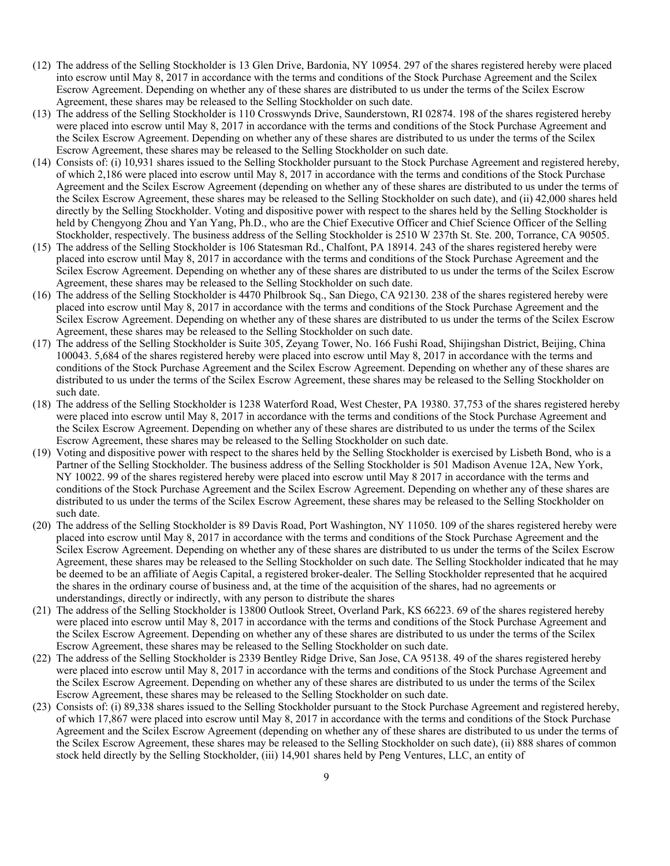- (12) The address of the Selling Stockholder is 13 Glen Drive, Bardonia, NY 10954. 297 of the shares registered hereby were placed into escrow until May 8, 2017 in accordance with the terms and conditions of the Stock Purchase Agreement and the Scilex Escrow Agreement. Depending on whether any of these shares are distributed to us under the terms of the Scilex Escrow Agreement, these shares may be released to the Selling Stockholder on such date.
- (13) The address of the Selling Stockholder is 110 Crosswynds Drive, Saunderstown, RI 02874. 198 of the shares registered hereby were placed into escrow until May 8, 2017 in accordance with the terms and conditions of the Stock Purchase Agreement and the Scilex Escrow Agreement. Depending on whether any of these shares are distributed to us under the terms of the Scilex Escrow Agreement, these shares may be released to the Selling Stockholder on such date.
- (14) Consists of: (i) 10,931 shares issued to the Selling Stockholder pursuant to the Stock Purchase Agreement and registered hereby, of which 2,186 were placed into escrow until May 8, 2017 in accordance with the terms and conditions of the Stock Purchase Agreement and the Scilex Escrow Agreement (depending on whether any of these shares are distributed to us under the terms of the Scilex Escrow Agreement, these shares may be released to the Selling Stockholder on such date), and (ii) 42,000 shares held directly by the Selling Stockholder. Voting and dispositive power with respect to the shares held by the Selling Stockholder is held by Chengyong Zhou and Yan Yang, Ph.D., who are the Chief Executive Officer and Chief Science Officer of the Selling Stockholder, respectively. The business address of the Selling Stockholder is 2510 W 237th St. Ste. 200, Torrance, CA 90505.
- (15) The address of the Selling Stockholder is 106 Statesman Rd., Chalfont, PA 18914. 243 of the shares registered hereby were placed into escrow until May 8, 2017 in accordance with the terms and conditions of the Stock Purchase Agreement and the Scilex Escrow Agreement. Depending on whether any of these shares are distributed to us under the terms of the Scilex Escrow Agreement, these shares may be released to the Selling Stockholder on such date.
- (16) The address of the Selling Stockholder is 4470 Philbrook Sq., San Diego, CA 92130. 238 of the shares registered hereby were placed into escrow until May 8, 2017 in accordance with the terms and conditions of the Stock Purchase Agreement and the Scilex Escrow Agreement. Depending on whether any of these shares are distributed to us under the terms of the Scilex Escrow Agreement, these shares may be released to the Selling Stockholder on such date.
- (17) The address of the Selling Stockholder is Suite 305, Zeyang Tower, No. 166 Fushi Road, Shijingshan District, Beijing, China 100043. 5,684 of the shares registered hereby were placed into escrow until May 8, 2017 in accordance with the terms and conditions of the Stock Purchase Agreement and the Scilex Escrow Agreement. Depending on whether any of these shares are distributed to us under the terms of the Scilex Escrow Agreement, these shares may be released to the Selling Stockholder on such date.
- (18) The address of the Selling Stockholder is 1238 Waterford Road, West Chester, PA 19380. 37,753 of the shares registered hereby were placed into escrow until May 8, 2017 in accordance with the terms and conditions of the Stock Purchase Agreement and the Scilex Escrow Agreement. Depending on whether any of these shares are distributed to us under the terms of the Scilex Escrow Agreement, these shares may be released to the Selling Stockholder on such date.
- (19) Voting and dispositive power with respect to the shares held by the Selling Stockholder is exercised by Lisbeth Bond, who is a Partner of the Selling Stockholder. The business address of the Selling Stockholder is 501 Madison Avenue 12A, New York, NY 10022. 99 of the shares registered hereby were placed into escrow until May 8 2017 in accordance with the terms and conditions of the Stock Purchase Agreement and the Scilex Escrow Agreement. Depending on whether any of these shares are distributed to us under the terms of the Scilex Escrow Agreement, these shares may be released to the Selling Stockholder on such date.
- (20) The address of the Selling Stockholder is 89 Davis Road, Port Washington, NY 11050. 109 of the shares registered hereby were placed into escrow until May 8, 2017 in accordance with the terms and conditions of the Stock Purchase Agreement and the Scilex Escrow Agreement. Depending on whether any of these shares are distributed to us under the terms of the Scilex Escrow Agreement, these shares may be released to the Selling Stockholder on such date. The Selling Stockholder indicated that he may be deemed to be an affiliate of Aegis Capital, a registered broker-dealer. The Selling Stockholder represented that he acquired the shares in the ordinary course of business and, at the time of the acquisition of the shares, had no agreements or understandings, directly or indirectly, with any person to distribute the shares
- (21) The address of the Selling Stockholder is 13800 Outlook Street, Overland Park, KS 66223. 69 of the shares registered hereby were placed into escrow until May 8, 2017 in accordance with the terms and conditions of the Stock Purchase Agreement and the Scilex Escrow Agreement. Depending on whether any of these shares are distributed to us under the terms of the Scilex Escrow Agreement, these shares may be released to the Selling Stockholder on such date.
- (22) The address of the Selling Stockholder is 2339 Bentley Ridge Drive, San Jose, CA 95138. 49 of the shares registered hereby were placed into escrow until May 8, 2017 in accordance with the terms and conditions of the Stock Purchase Agreement and the Scilex Escrow Agreement. Depending on whether any of these shares are distributed to us under the terms of the Scilex Escrow Agreement, these shares may be released to the Selling Stockholder on such date.
- (23) Consists of: (i) 89,338 shares issued to the Selling Stockholder pursuant to the Stock Purchase Agreement and registered hereby, of which 17,867 were placed into escrow until May 8, 2017 in accordance with the terms and conditions of the Stock Purchase Agreement and the Scilex Escrow Agreement (depending on whether any of these shares are distributed to us under the terms of the Scilex Escrow Agreement, these shares may be released to the Selling Stockholder on such date), (ii) 888 shares of common stock held directly by the Selling Stockholder, (iii) 14,901 shares held by Peng Ventures, LLC, an entity of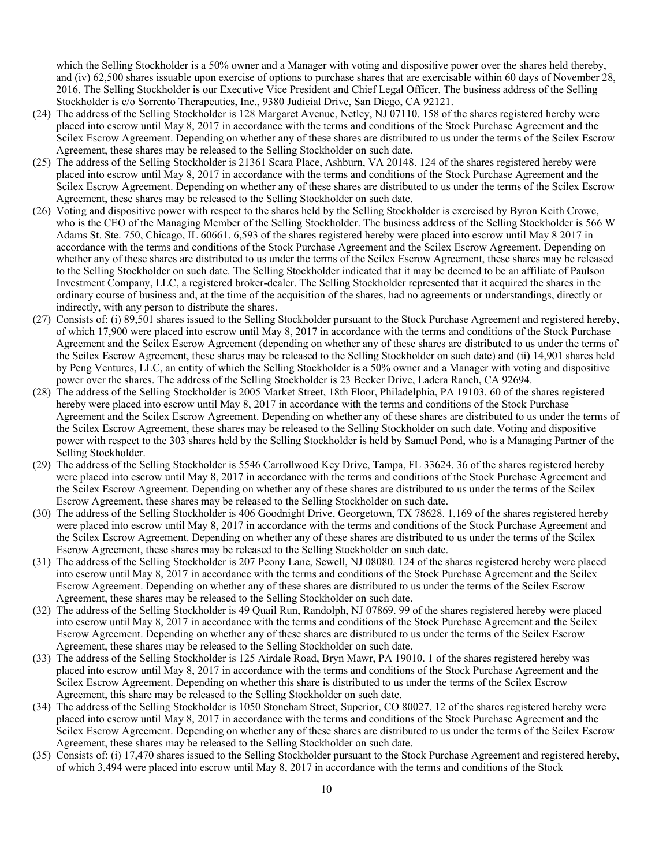which the Selling Stockholder is a 50% owner and a Manager with voting and dispositive power over the shares held thereby, and (iv) 62,500 shares issuable upon exercise of options to purchase shares that are exercisable within 60 days of November 28, 2016. The Selling Stockholder is our Executive Vice President and Chief Legal Officer. The business address of the Selling Stockholder is c/o Sorrento Therapeutics, Inc., 9380 Judicial Drive, San Diego, CA 92121.

- (24) The address of the Selling Stockholder is 128 Margaret Avenue, Netley, NJ 07110. 158 of the shares registered hereby were placed into escrow until May 8, 2017 in accordance with the terms and conditions of the Stock Purchase Agreement and the Scilex Escrow Agreement. Depending on whether any of these shares are distributed to us under the terms of the Scilex Escrow Agreement, these shares may be released to the Selling Stockholder on such date.
- (25) The address of the Selling Stockholder is 21361 Scara Place, Ashburn, VA 20148. 124 of the shares registered hereby were placed into escrow until May 8, 2017 in accordance with the terms and conditions of the Stock Purchase Agreement and the Scilex Escrow Agreement. Depending on whether any of these shares are distributed to us under the terms of the Scilex Escrow Agreement, these shares may be released to the Selling Stockholder on such date.
- (26) Voting and dispositive power with respect to the shares held by the Selling Stockholder is exercised by Byron Keith Crowe, who is the CEO of the Managing Member of the Selling Stockholder. The business address of the Selling Stockholder is 566 W Adams St. Ste. 750, Chicago, IL 60661. 6,593 of the shares registered hereby were placed into escrow until May 8 2017 in accordance with the terms and conditions of the Stock Purchase Agreement and the Scilex Escrow Agreement. Depending on whether any of these shares are distributed to us under the terms of the Scilex Escrow Agreement, these shares may be released to the Selling Stockholder on such date. The Selling Stockholder indicated that it may be deemed to be an affiliate of Paulson Investment Company, LLC, a registered broker-dealer. The Selling Stockholder represented that it acquired the shares in the ordinary course of business and, at the time of the acquisition of the shares, had no agreements or understandings, directly or indirectly, with any person to distribute the shares.
- (27) Consists of: (i) 89,501 shares issued to the Selling Stockholder pursuant to the Stock Purchase Agreement and registered hereby, of which 17,900 were placed into escrow until May 8, 2017 in accordance with the terms and conditions of the Stock Purchase Agreement and the Scilex Escrow Agreement (depending on whether any of these shares are distributed to us under the terms of the Scilex Escrow Agreement, these shares may be released to the Selling Stockholder on such date) and (ii) 14,901 shares held by Peng Ventures, LLC, an entity of which the Selling Stockholder is a 50% owner and a Manager with voting and dispositive power over the shares. The address of the Selling Stockholder is 23 Becker Drive, Ladera Ranch, CA 92694.
- (28) The address of the Selling Stockholder is 2005 Market Street, 18th Floor, Philadelphia, PA 19103. 60 of the shares registered hereby were placed into escrow until May 8, 2017 in accordance with the terms and conditions of the Stock Purchase Agreement and the Scilex Escrow Agreement. Depending on whether any of these shares are distributed to us under the terms of the Scilex Escrow Agreement, these shares may be released to the Selling Stockholder on such date. Voting and dispositive power with respect to the 303 shares held by the Selling Stockholder is held by Samuel Pond, who is a Managing Partner of the Selling Stockholder.
- (29) The address of the Selling Stockholder is 5546 Carrollwood Key Drive, Tampa, FL 33624. 36 of the shares registered hereby were placed into escrow until May 8, 2017 in accordance with the terms and conditions of the Stock Purchase Agreement and the Scilex Escrow Agreement. Depending on whether any of these shares are distributed to us under the terms of the Scilex Escrow Agreement, these shares may be released to the Selling Stockholder on such date.
- (30) The address of the Selling Stockholder is 406 Goodnight Drive, Georgetown, TX 78628. 1,169 of the shares registered hereby were placed into escrow until May 8, 2017 in accordance with the terms and conditions of the Stock Purchase Agreement and the Scilex Escrow Agreement. Depending on whether any of these shares are distributed to us under the terms of the Scilex Escrow Agreement, these shares may be released to the Selling Stockholder on such date.
- (31) The address of the Selling Stockholder is 207 Peony Lane, Sewell, NJ 08080. 124 of the shares registered hereby were placed into escrow until May 8, 2017 in accordance with the terms and conditions of the Stock Purchase Agreement and the Scilex Escrow Agreement. Depending on whether any of these shares are distributed to us under the terms of the Scilex Escrow Agreement, these shares may be released to the Selling Stockholder on such date.
- (32) The address of the Selling Stockholder is 49 Quail Run, Randolph, NJ 07869. 99 of the shares registered hereby were placed into escrow until May 8, 2017 in accordance with the terms and conditions of the Stock Purchase Agreement and the Scilex Escrow Agreement. Depending on whether any of these shares are distributed to us under the terms of the Scilex Escrow Agreement, these shares may be released to the Selling Stockholder on such date.
- (33) The address of the Selling Stockholder is 125 Airdale Road, Bryn Mawr, PA 19010. 1 of the shares registered hereby was placed into escrow until May 8, 2017 in accordance with the terms and conditions of the Stock Purchase Agreement and the Scilex Escrow Agreement. Depending on whether this share is distributed to us under the terms of the Scilex Escrow Agreement, this share may be released to the Selling Stockholder on such date.
- (34) The address of the Selling Stockholder is 1050 Stoneham Street, Superior, CO 80027. 12 of the shares registered hereby were placed into escrow until May 8, 2017 in accordance with the terms and conditions of the Stock Purchase Agreement and the Scilex Escrow Agreement. Depending on whether any of these shares are distributed to us under the terms of the Scilex Escrow Agreement, these shares may be released to the Selling Stockholder on such date.
- (35) Consists of: (i) 17,470 shares issued to the Selling Stockholder pursuant to the Stock Purchase Agreement and registered hereby, of which 3,494 were placed into escrow until May 8, 2017 in accordance with the terms and conditions of the Stock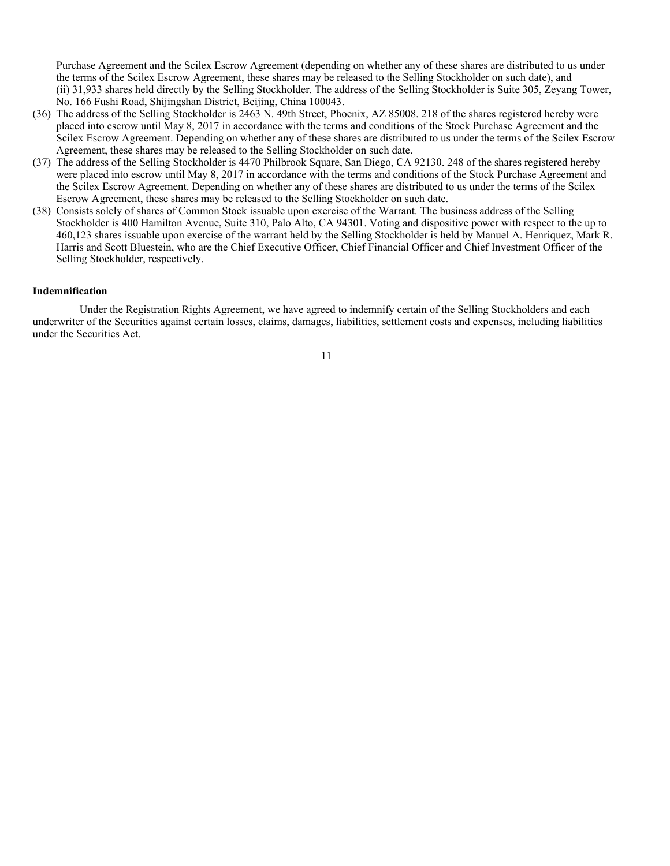Purchase Agreement and the Scilex Escrow Agreement (depending on whether any of these shares are distributed to us under the terms of the Scilex Escrow Agreement, these shares may be released to the Selling Stockholder on such date), and (ii) 31,933 shares held directly by the Selling Stockholder. The address of the Selling Stockholder is Suite 305, Zeyang Tower, No. 166 Fushi Road, Shijingshan District, Beijing, China 100043.

- (36) The address of the Selling Stockholder is 2463 N. 49th Street, Phoenix, AZ 85008. 218 of the shares registered hereby were placed into escrow until May 8, 2017 in accordance with the terms and conditions of the Stock Purchase Agreement and the Scilex Escrow Agreement. Depending on whether any of these shares are distributed to us under the terms of the Scilex Escrow Agreement, these shares may be released to the Selling Stockholder on such date.
- (37) The address of the Selling Stockholder is 4470 Philbrook Square, San Diego, CA 92130. 248 of the shares registered hereby were placed into escrow until May 8, 2017 in accordance with the terms and conditions of the Stock Purchase Agreement and the Scilex Escrow Agreement. Depending on whether any of these shares are distributed to us under the terms of the Scilex Escrow Agreement, these shares may be released to the Selling Stockholder on such date.
- (38) Consists solely of shares of Common Stock issuable upon exercise of the Warrant. The business address of the Selling Stockholder is 400 Hamilton Avenue, Suite 310, Palo Alto, CA 94301. Voting and dispositive power with respect to the up to 460,123 shares issuable upon exercise of the warrant held by the Selling Stockholder is held by Manuel A. Henriquez, Mark R. Harris and Scott Bluestein, who are the Chief Executive Officer, Chief Financial Officer and Chief Investment Officer of the Selling Stockholder, respectively.

#### **Indemnification**

Under the Registration Rights Agreement, we have agreed to indemnify certain of the Selling Stockholders and each underwriter of the Securities against certain losses, claims, damages, liabilities, settlement costs and expenses, including liabilities under the Securities Act.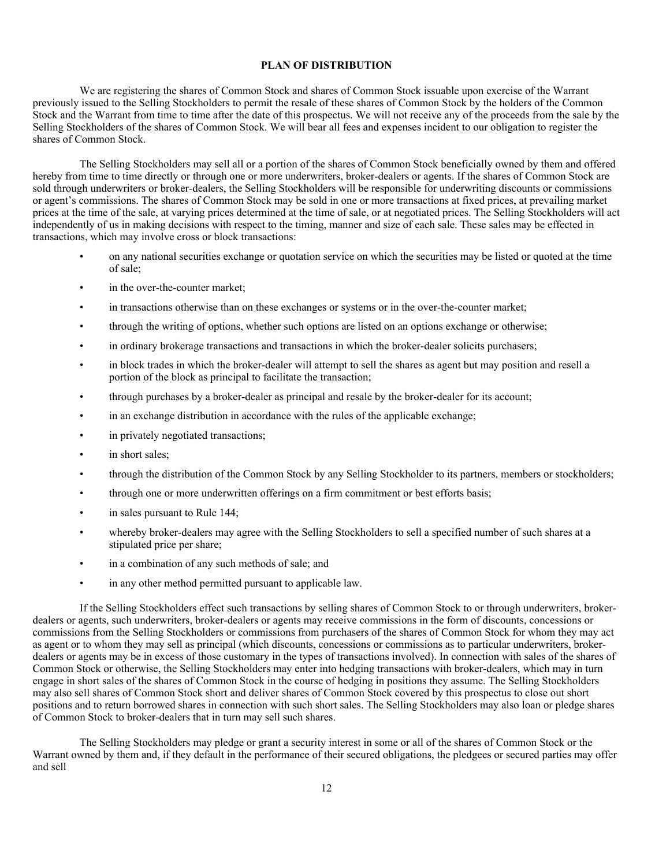#### **PLAN OF DISTRIBUTION**

We are registering the shares of Common Stock and shares of Common Stock issuable upon exercise of the Warrant previously issued to the Selling Stockholders to permit the resale of these shares of Common Stock by the holders of the Common Stock and the Warrant from time to time after the date of this prospectus. We will not receive any of the proceeds from the sale by the Selling Stockholders of the shares of Common Stock. We will bear all fees and expenses incident to our obligation to register the shares of Common Stock.

The Selling Stockholders may sell all or a portion of the shares of Common Stock beneficially owned by them and offered hereby from time to time directly or through one or more underwriters, broker-dealers or agents. If the shares of Common Stock are sold through underwriters or broker-dealers, the Selling Stockholders will be responsible for underwriting discounts or commissions or agent's commissions. The shares of Common Stock may be sold in one or more transactions at fixed prices, at prevailing market prices at the time of the sale, at varying prices determined at the time of sale, or at negotiated prices. The Selling Stockholders will act independently of us in making decisions with respect to the timing, manner and size of each sale. These sales may be effected in transactions, which may involve cross or block transactions:

- on any national securities exchange or quotation service on which the securities may be listed or quoted at the time of sale;
- in the over-the-counter market;
- in transactions otherwise than on these exchanges or systems or in the over-the-counter market;
- through the writing of options, whether such options are listed on an options exchange or otherwise;
- in ordinary brokerage transactions and transactions in which the broker-dealer solicits purchasers;
- in block trades in which the broker-dealer will attempt to sell the shares as agent but may position and resell a portion of the block as principal to facilitate the transaction;
- through purchases by a broker-dealer as principal and resale by the broker-dealer for its account;
- in an exchange distribution in accordance with the rules of the applicable exchange;
- in privately negotiated transactions;
- in short sales;
- through the distribution of the Common Stock by any Selling Stockholder to its partners, members or stockholders;
- through one or more underwritten offerings on a firm commitment or best efforts basis;
- in sales pursuant to Rule 144;
- whereby broker-dealers may agree with the Selling Stockholders to sell a specified number of such shares at a stipulated price per share;
- in a combination of any such methods of sale; and
- in any other method permitted pursuant to applicable law.

If the Selling Stockholders effect such transactions by selling shares of Common Stock to or through underwriters, brokerdealers or agents, such underwriters, broker-dealers or agents may receive commissions in the form of discounts, concessions or commissions from the Selling Stockholders or commissions from purchasers of the shares of Common Stock for whom they may act as agent or to whom they may sell as principal (which discounts, concessions or commissions as to particular underwriters, brokerdealers or agents may be in excess of those customary in the types of transactions involved). In connection with sales of the shares of Common Stock or otherwise, the Selling Stockholders may enter into hedging transactions with broker-dealers, which may in turn engage in short sales of the shares of Common Stock in the course of hedging in positions they assume. The Selling Stockholders may also sell shares of Common Stock short and deliver shares of Common Stock covered by this prospectus to close out short positions and to return borrowed shares in connection with such short sales. The Selling Stockholders may also loan or pledge shares of Common Stock to broker-dealers that in turn may sell such shares.

The Selling Stockholders may pledge or grant a security interest in some or all of the shares of Common Stock or the Warrant owned by them and, if they default in the performance of their secured obligations, the pledgees or secured parties may offer and sell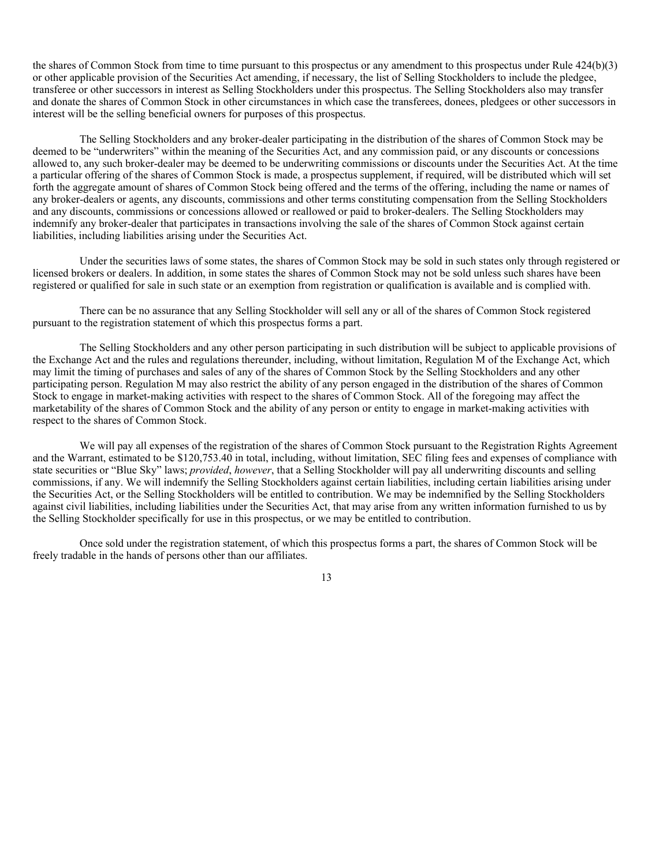the shares of Common Stock from time to time pursuant to this prospectus or any amendment to this prospectus under Rule 424(b)(3) or other applicable provision of the Securities Act amending, if necessary, the list of Selling Stockholders to include the pledgee, transferee or other successors in interest as Selling Stockholders under this prospectus. The Selling Stockholders also may transfer and donate the shares of Common Stock in other circumstances in which case the transferees, donees, pledgees or other successors in interest will be the selling beneficial owners for purposes of this prospectus.

The Selling Stockholders and any broker-dealer participating in the distribution of the shares of Common Stock may be deemed to be "underwriters" within the meaning of the Securities Act, and any commission paid, or any discounts or concessions allowed to, any such broker-dealer may be deemed to be underwriting commissions or discounts under the Securities Act. At the time a particular offering of the shares of Common Stock is made, a prospectus supplement, if required, will be distributed which will set forth the aggregate amount of shares of Common Stock being offered and the terms of the offering, including the name or names of any broker-dealers or agents, any discounts, commissions and other terms constituting compensation from the Selling Stockholders and any discounts, commissions or concessions allowed or reallowed or paid to broker-dealers. The Selling Stockholders may indemnify any broker-dealer that participates in transactions involving the sale of the shares of Common Stock against certain liabilities, including liabilities arising under the Securities Act.

Under the securities laws of some states, the shares of Common Stock may be sold in such states only through registered or licensed brokers or dealers. In addition, in some states the shares of Common Stock may not be sold unless such shares have been registered or qualified for sale in such state or an exemption from registration or qualification is available and is complied with.

There can be no assurance that any Selling Stockholder will sell any or all of the shares of Common Stock registered pursuant to the registration statement of which this prospectus forms a part.

The Selling Stockholders and any other person participating in such distribution will be subject to applicable provisions of the Exchange Act and the rules and regulations thereunder, including, without limitation, Regulation M of the Exchange Act, which may limit the timing of purchases and sales of any of the shares of Common Stock by the Selling Stockholders and any other participating person. Regulation M may also restrict the ability of any person engaged in the distribution of the shares of Common Stock to engage in market-making activities with respect to the shares of Common Stock. All of the foregoing may affect the marketability of the shares of Common Stock and the ability of any person or entity to engage in market-making activities with respect to the shares of Common Stock.

We will pay all expenses of the registration of the shares of Common Stock pursuant to the Registration Rights Agreement and the Warrant, estimated to be \$120,753.40 in total, including, without limitation, SEC filing fees and expenses of compliance with state securities or "Blue Sky" laws; *provided*, *however*, that a Selling Stockholder will pay all underwriting discounts and selling commissions, if any. We will indemnify the Selling Stockholders against certain liabilities, including certain liabilities arising under the Securities Act, or the Selling Stockholders will be entitled to contribution. We may be indemnified by the Selling Stockholders against civil liabilities, including liabilities under the Securities Act, that may arise from any written information furnished to us by the Selling Stockholder specifically for use in this prospectus, or we may be entitled to contribution.

Once sold under the registration statement, of which this prospectus forms a part, the shares of Common Stock will be freely tradable in the hands of persons other than our affiliates.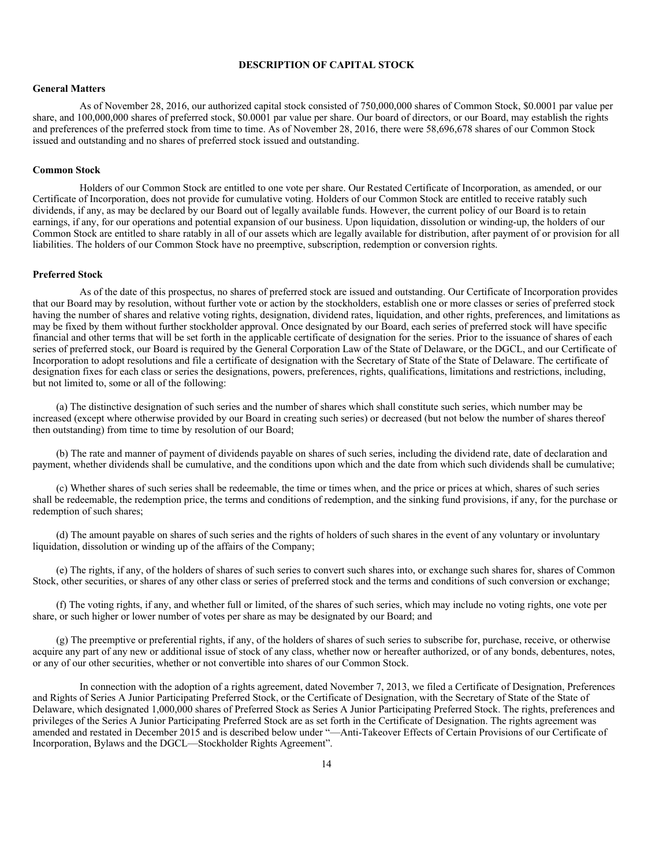#### **DESCRIPTION OF CAPITAL STOCK**

#### **General Matters**

As of November 28, 2016, our authorized capital stock consisted of 750,000,000 shares of Common Stock, \$0.0001 par value per share, and 100,000,000 shares of preferred stock, \$0.0001 par value per share. Our board of directors, or our Board, may establish the rights and preferences of the preferred stock from time to time. As of November 28, 2016, there were 58,696,678 shares of our Common Stock issued and outstanding and no shares of preferred stock issued and outstanding.

#### **Common Stock**

Holders of our Common Stock are entitled to one vote per share. Our Restated Certificate of Incorporation, as amended, or our Certificate of Incorporation, does not provide for cumulative voting. Holders of our Common Stock are entitled to receive ratably such dividends, if any, as may be declared by our Board out of legally available funds. However, the current policy of our Board is to retain earnings, if any, for our operations and potential expansion of our business. Upon liquidation, dissolution or winding-up, the holders of our Common Stock are entitled to share ratably in all of our assets which are legally available for distribution, after payment of or provision for all liabilities. The holders of our Common Stock have no preemptive, subscription, redemption or conversion rights.

#### **Preferred Stock**

As of the date of this prospectus, no shares of preferred stock are issued and outstanding. Our Certificate of Incorporation provides that our Board may by resolution, without further vote or action by the stockholders, establish one or more classes or series of preferred stock having the number of shares and relative voting rights, designation, dividend rates, liquidation, and other rights, preferences, and limitations as may be fixed by them without further stockholder approval. Once designated by our Board, each series of preferred stock will have specific financial and other terms that will be set forth in the applicable certificate of designation for the series. Prior to the issuance of shares of each series of preferred stock, our Board is required by the General Corporation Law of the State of Delaware, or the DGCL, and our Certificate of Incorporation to adopt resolutions and file a certificate of designation with the Secretary of State of the State of Delaware. The certificate of designation fixes for each class or series the designations, powers, preferences, rights, qualifications, limitations and restrictions, including, but not limited to, some or all of the following:

(a) The distinctive designation of such series and the number of shares which shall constitute such series, which number may be increased (except where otherwise provided by our Board in creating such series) or decreased (but not below the number of shares thereof then outstanding) from time to time by resolution of our Board;

(b) The rate and manner of payment of dividends payable on shares of such series, including the dividend rate, date of declaration and payment, whether dividends shall be cumulative, and the conditions upon which and the date from which such dividends shall be cumulative;

(c) Whether shares of such series shall be redeemable, the time or times when, and the price or prices at which, shares of such series shall be redeemable, the redemption price, the terms and conditions of redemption, and the sinking fund provisions, if any, for the purchase or redemption of such shares;

(d) The amount payable on shares of such series and the rights of holders of such shares in the event of any voluntary or involuntary liquidation, dissolution or winding up of the affairs of the Company;

(e) The rights, if any, of the holders of shares of such series to convert such shares into, or exchange such shares for, shares of Common Stock, other securities, or shares of any other class or series of preferred stock and the terms and conditions of such conversion or exchange;

(f) The voting rights, if any, and whether full or limited, of the shares of such series, which may include no voting rights, one vote per share, or such higher or lower number of votes per share as may be designated by our Board; and

(g) The preemptive or preferential rights, if any, of the holders of shares of such series to subscribe for, purchase, receive, or otherwise acquire any part of any new or additional issue of stock of any class, whether now or hereafter authorized, or of any bonds, debentures, notes, or any of our other securities, whether or not convertible into shares of our Common Stock.

In connection with the adoption of a rights agreement, dated November 7, 2013, we filed a Certificate of Designation, Preferences and Rights of Series A Junior Participating Preferred Stock, or the Certificate of Designation, with the Secretary of State of the State of Delaware, which designated 1,000,000 shares of Preferred Stock as Series A Junior Participating Preferred Stock. The rights, preferences and privileges of the Series A Junior Participating Preferred Stock are as set forth in the Certificate of Designation. The rights agreement was amended and restated in December 2015 and is described below under "—Anti-Takeover Effects of Certain Provisions of our Certificate of Incorporation, Bylaws and the DGCL—Stockholder Rights Agreement".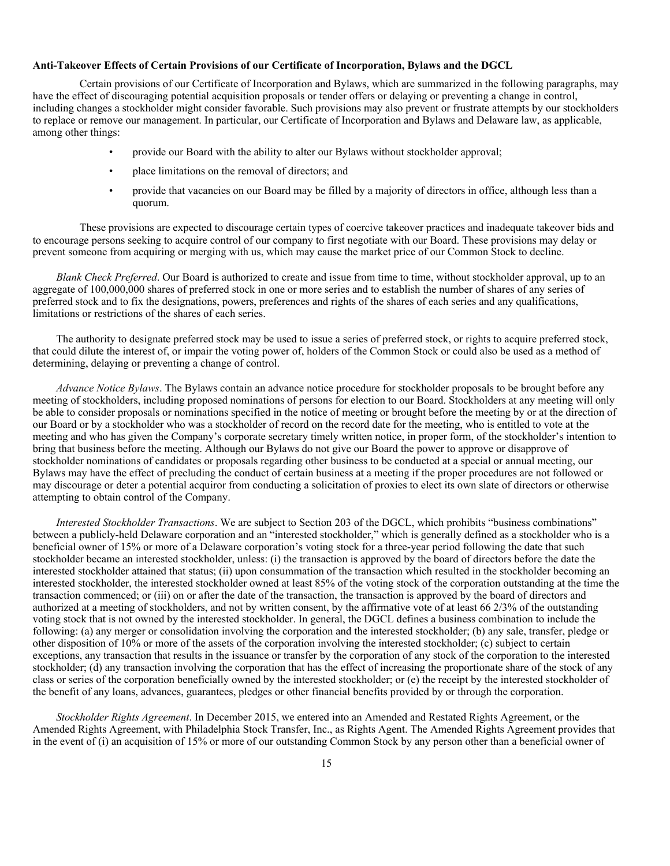#### **Anti-Takeover Effects of Certain Provisions of our Certificate of Incorporation, Bylaws and the DGCL**

Certain provisions of our Certificate of Incorporation and Bylaws, which are summarized in the following paragraphs, may have the effect of discouraging potential acquisition proposals or tender offers or delaying or preventing a change in control, including changes a stockholder might consider favorable. Such provisions may also prevent or frustrate attempts by our stockholders to replace or remove our management. In particular, our Certificate of Incorporation and Bylaws and Delaware law, as applicable, among other things:

- provide our Board with the ability to alter our Bylaws without stockholder approval;
- place limitations on the removal of directors; and
- provide that vacancies on our Board may be filled by a majority of directors in office, although less than a quorum.

These provisions are expected to discourage certain types of coercive takeover practices and inadequate takeover bids and to encourage persons seeking to acquire control of our company to first negotiate with our Board. These provisions may delay or prevent someone from acquiring or merging with us, which may cause the market price of our Common Stock to decline.

*Blank Check Preferred*. Our Board is authorized to create and issue from time to time, without stockholder approval, up to an aggregate of 100,000,000 shares of preferred stock in one or more series and to establish the number of shares of any series of preferred stock and to fix the designations, powers, preferences and rights of the shares of each series and any qualifications, limitations or restrictions of the shares of each series.

The authority to designate preferred stock may be used to issue a series of preferred stock, or rights to acquire preferred stock, that could dilute the interest of, or impair the voting power of, holders of the Common Stock or could also be used as a method of determining, delaying or preventing a change of control.

*Advance Notice Bylaws*. The Bylaws contain an advance notice procedure for stockholder proposals to be brought before any meeting of stockholders, including proposed nominations of persons for election to our Board. Stockholders at any meeting will only be able to consider proposals or nominations specified in the notice of meeting or brought before the meeting by or at the direction of our Board or by a stockholder who was a stockholder of record on the record date for the meeting, who is entitled to vote at the meeting and who has given the Company's corporate secretary timely written notice, in proper form, of the stockholder's intention to bring that business before the meeting. Although our Bylaws do not give our Board the power to approve or disapprove of stockholder nominations of candidates or proposals regarding other business to be conducted at a special or annual meeting, our Bylaws may have the effect of precluding the conduct of certain business at a meeting if the proper procedures are not followed or may discourage or deter a potential acquiror from conducting a solicitation of proxies to elect its own slate of directors or otherwise attempting to obtain control of the Company.

*Interested Stockholder Transactions*. We are subject to Section 203 of the DGCL, which prohibits "business combinations" between a publicly-held Delaware corporation and an "interested stockholder," which is generally defined as a stockholder who is a beneficial owner of 15% or more of a Delaware corporation's voting stock for a three-year period following the date that such stockholder became an interested stockholder, unless: (i) the transaction is approved by the board of directors before the date the interested stockholder attained that status; (ii) upon consummation of the transaction which resulted in the stockholder becoming an interested stockholder, the interested stockholder owned at least 85% of the voting stock of the corporation outstanding at the time the transaction commenced; or (iii) on or after the date of the transaction, the transaction is approved by the board of directors and authorized at a meeting of stockholders, and not by written consent, by the affirmative vote of at least 66 2/3% of the outstanding voting stock that is not owned by the interested stockholder. In general, the DGCL defines a business combination to include the following: (a) any merger or consolidation involving the corporation and the interested stockholder; (b) any sale, transfer, pledge or other disposition of 10% or more of the assets of the corporation involving the interested stockholder; (c) subject to certain exceptions, any transaction that results in the issuance or transfer by the corporation of any stock of the corporation to the interested stockholder; (d) any transaction involving the corporation that has the effect of increasing the proportionate share of the stock of any class or series of the corporation beneficially owned by the interested stockholder; or (e) the receipt by the interested stockholder of the benefit of any loans, advances, guarantees, pledges or other financial benefits provided by or through the corporation.

*Stockholder Rights Agreement*. In December 2015, we entered into an Amended and Restated Rights Agreement, or the Amended Rights Agreement, with Philadelphia Stock Transfer, Inc., as Rights Agent. The Amended Rights Agreement provides that in the event of (i) an acquisition of 15% or more of our outstanding Common Stock by any person other than a beneficial owner of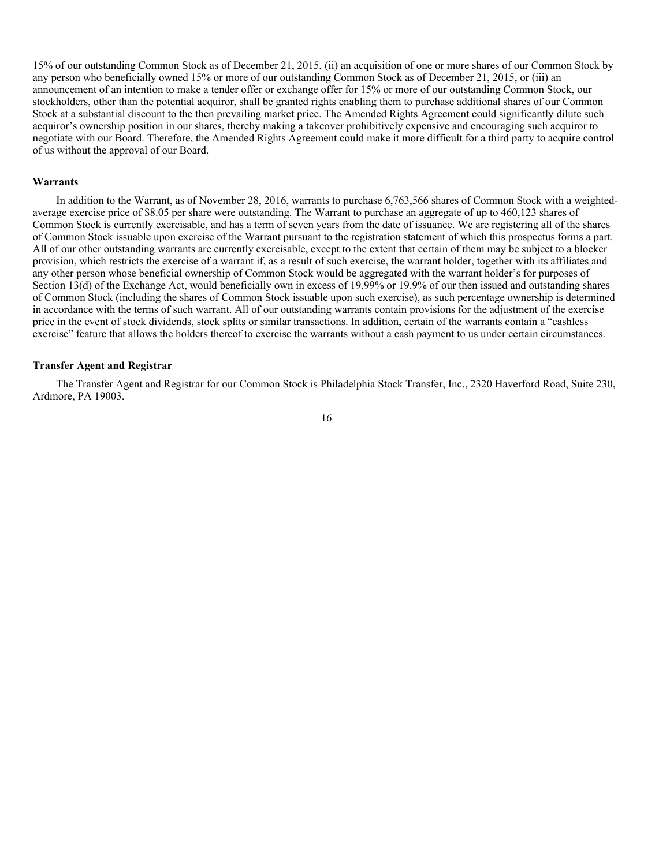15% of our outstanding Common Stock as of December 21, 2015, (ii) an acquisition of one or more shares of our Common Stock by any person who beneficially owned 15% or more of our outstanding Common Stock as of December 21, 2015, or (iii) an announcement of an intention to make a tender offer or exchange offer for 15% or more of our outstanding Common Stock, our stockholders, other than the potential acquiror, shall be granted rights enabling them to purchase additional shares of our Common Stock at a substantial discount to the then prevailing market price. The Amended Rights Agreement could significantly dilute such acquiror's ownership position in our shares, thereby making a takeover prohibitively expensive and encouraging such acquiror to negotiate with our Board. Therefore, the Amended Rights Agreement could make it more difficult for a third party to acquire control of us without the approval of our Board.

#### **Warrants**

In addition to the Warrant, as of November 28, 2016, warrants to purchase 6,763,566 shares of Common Stock with a weightedaverage exercise price of \$8.05 per share were outstanding. The Warrant to purchase an aggregate of up to 460,123 shares of Common Stock is currently exercisable, and has a term of seven years from the date of issuance. We are registering all of the shares of Common Stock issuable upon exercise of the Warrant pursuant to the registration statement of which this prospectus forms a part. All of our other outstanding warrants are currently exercisable, except to the extent that certain of them may be subject to a blocker provision, which restricts the exercise of a warrant if, as a result of such exercise, the warrant holder, together with its affiliates and any other person whose beneficial ownership of Common Stock would be aggregated with the warrant holder's for purposes of Section 13(d) of the Exchange Act, would beneficially own in excess of 19.99% or 19.9% of our then issued and outstanding shares of Common Stock (including the shares of Common Stock issuable upon such exercise), as such percentage ownership is determined in accordance with the terms of such warrant. All of our outstanding warrants contain provisions for the adjustment of the exercise price in the event of stock dividends, stock splits or similar transactions. In addition, certain of the warrants contain a "cashless exercise" feature that allows the holders thereof to exercise the warrants without a cash payment to us under certain circumstances.

#### **Transfer Agent and Registrar**

The Transfer Agent and Registrar for our Common Stock is Philadelphia Stock Transfer, Inc., 2320 Haverford Road, Suite 230, Ardmore, PA 19003.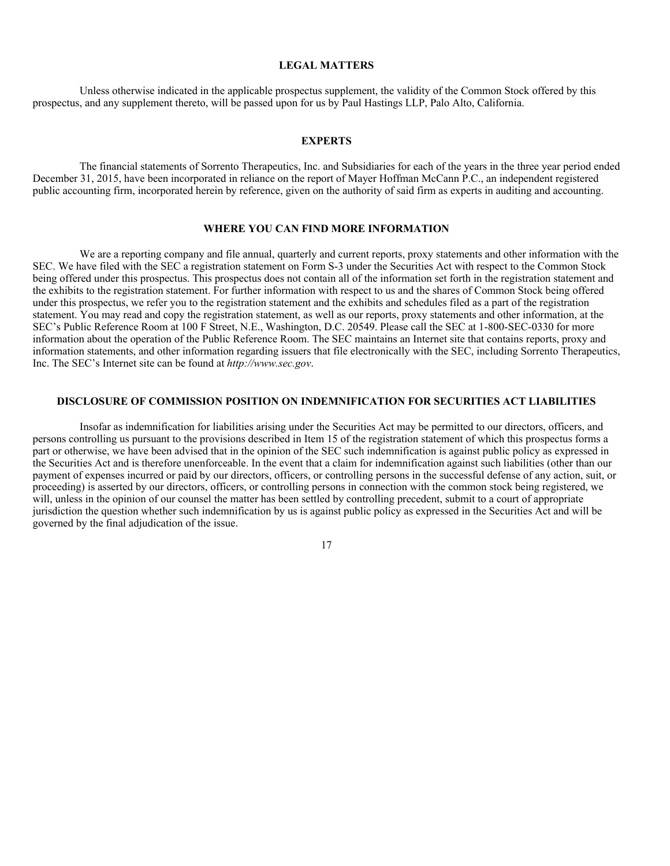#### **LEGAL MATTERS**

Unless otherwise indicated in the applicable prospectus supplement, the validity of the Common Stock offered by this prospectus, and any supplement thereto, will be passed upon for us by Paul Hastings LLP, Palo Alto, California.

#### **EXPERTS**

The financial statements of Sorrento Therapeutics, Inc. and Subsidiaries for each of the years in the three year period ended December 31, 2015, have been incorporated in reliance on the report of Mayer Hoffman McCann P.C., an independent registered public accounting firm, incorporated herein by reference, given on the authority of said firm as experts in auditing and accounting.

#### **WHERE YOU CAN FIND MORE INFORMATION**

We are a reporting company and file annual, quarterly and current reports, proxy statements and other information with the SEC. We have filed with the SEC a registration statement on Form S-3 under the Securities Act with respect to the Common Stock being offered under this prospectus. This prospectus does not contain all of the information set forth in the registration statement and the exhibits to the registration statement. For further information with respect to us and the shares of Common Stock being offered under this prospectus, we refer you to the registration statement and the exhibits and schedules filed as a part of the registration statement. You may read and copy the registration statement, as well as our reports, proxy statements and other information, at the SEC's Public Reference Room at 100 F Street, N.E., Washington, D.C. 20549. Please call the SEC at 1-800-SEC-0330 for more information about the operation of the Public Reference Room. The SEC maintains an Internet site that contains reports, proxy and information statements, and other information regarding issuers that file electronically with the SEC, including Sorrento Therapeutics, Inc. The SEC's Internet site can be found at *http://www.sec.gov*.

#### **DISCLOSURE OF COMMISSION POSITION ON INDEMNIFICATION FOR SECURITIES ACT LIABILITIES**

Insofar as indemnification for liabilities arising under the Securities Act may be permitted to our directors, officers, and persons controlling us pursuant to the provisions described in Item 15 of the registration statement of which this prospectus forms a part or otherwise, we have been advised that in the opinion of the SEC such indemnification is against public policy as expressed in the Securities Act and is therefore unenforceable. In the event that a claim for indemnification against such liabilities (other than our payment of expenses incurred or paid by our directors, officers, or controlling persons in the successful defense of any action, suit, or proceeding) is asserted by our directors, officers, or controlling persons in connection with the common stock being registered, we will, unless in the opinion of our counsel the matter has been settled by controlling precedent, submit to a court of appropriate jurisdiction the question whether such indemnification by us is against public policy as expressed in the Securities Act and will be governed by the final adjudication of the issue.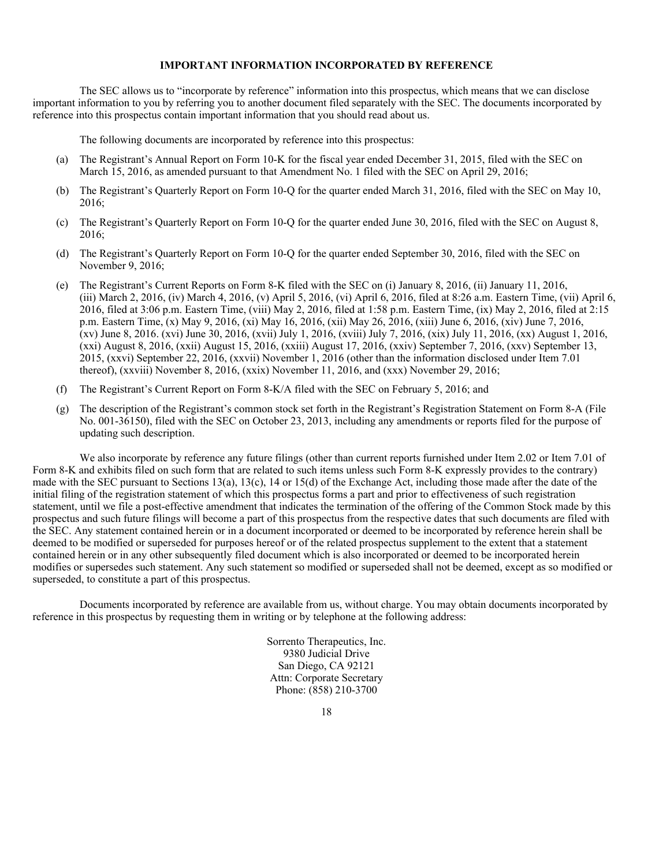#### **IMPORTANT INFORMATION INCORPORATED BY REFERENCE**

The SEC allows us to "incorporate by reference" information into this prospectus, which means that we can disclose important information to you by referring you to another document filed separately with the SEC. The documents incorporated by reference into this prospectus contain important information that you should read about us.

The following documents are incorporated by reference into this prospectus:

- (a) The Registrant's Annual Report on Form 10-K for the fiscal year ended December 31, 2015, filed with the SEC on March 15, 2016, as amended pursuant to that Amendment No. 1 filed with the SEC on April 29, 2016;
- (b) The Registrant's Quarterly Report on Form 10-Q for the quarter ended March 31, 2016, filed with the SEC on May 10, 2016;
- (c) The Registrant's Quarterly Report on Form 10-Q for the quarter ended June 30, 2016, filed with the SEC on August 8, 2016;
- (d) The Registrant's Quarterly Report on Form 10-Q for the quarter ended September 30, 2016, filed with the SEC on November 9, 2016;
- (e) The Registrant's Current Reports on Form 8-K filed with the SEC on (i) January 8, 2016, (ii) January 11, 2016, (iii) March 2, 2016, (iv) March 4, 2016, (v) April 5, 2016, (vi) April 6, 2016, filed at 8:26 a.m. Eastern Time, (vii) April 6, 2016, filed at 3:06 p.m. Eastern Time, (viii) May 2, 2016, filed at 1:58 p.m. Eastern Time, (ix) May 2, 2016, filed at 2:15 p.m. Eastern Time, (x) May 9, 2016, (xi) May 16, 2016, (xii) May 26, 2016, (xiii) June 6, 2016, (xiv) June 7, 2016, (xv) June 8, 2016. (xvi) June 30, 2016, (xvii) July 1, 2016, (xviii) July 7, 2016, (xix) July 11, 2016, (xx) August 1, 2016, (xxi) August 8, 2016, (xxii) August 15, 2016, (xxiii) August 17, 2016, (xxiv) September 7, 2016, (xxv) September 13, 2015, (xxvi) September 22, 2016, (xxvii) November 1, 2016 (other than the information disclosed under Item 7.01 thereof), (xxviii) November 8, 2016, (xxix) November 11, 2016, and (xxx) November 29, 2016;
- (f) The Registrant's Current Report on Form 8-K/A filed with the SEC on February 5, 2016; and
- (g) The description of the Registrant's common stock set forth in the Registrant's Registration Statement on Form 8-A (File No. 001-36150), filed with the SEC on October 23, 2013, including any amendments or reports filed for the purpose of updating such description.

We also incorporate by reference any future filings (other than current reports furnished under Item 2.02 or Item 7.01 of Form 8-K and exhibits filed on such form that are related to such items unless such Form 8-K expressly provides to the contrary) made with the SEC pursuant to Sections 13(a), 13(c), 14 or 15(d) of the Exchange Act, including those made after the date of the initial filing of the registration statement of which this prospectus forms a part and prior to effectiveness of such registration statement, until we file a post-effective amendment that indicates the termination of the offering of the Common Stock made by this prospectus and such future filings will become a part of this prospectus from the respective dates that such documents are filed with the SEC. Any statement contained herein or in a document incorporated or deemed to be incorporated by reference herein shall be deemed to be modified or superseded for purposes hereof or of the related prospectus supplement to the extent that a statement contained herein or in any other subsequently filed document which is also incorporated or deemed to be incorporated herein modifies or supersedes such statement. Any such statement so modified or superseded shall not be deemed, except as so modified or superseded, to constitute a part of this prospectus.

Documents incorporated by reference are available from us, without charge. You may obtain documents incorporated by reference in this prospectus by requesting them in writing or by telephone at the following address:

> Sorrento Therapeutics, Inc. 9380 Judicial Drive San Diego, CA 92121 Attn: Corporate Secretary Phone: (858) 210-3700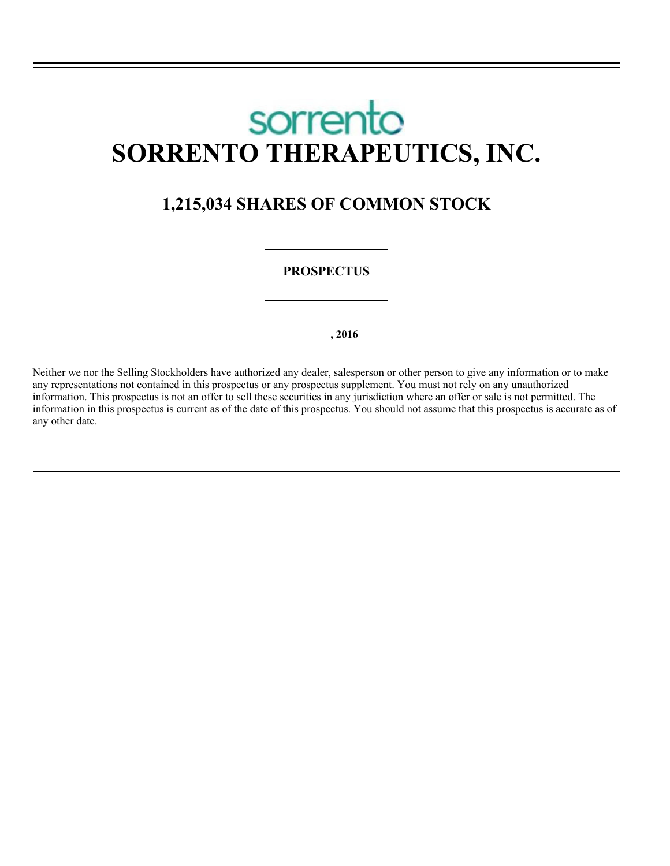# sorrento **SORRENTO THERAPEUTICS, INC.**

l I

 $\overline{a}$ j

### **1,215,034 SHARES OF COMMON STOCK**

#### **PROSPECTUS**

 **, 2016** 

Neither we nor the Selling Stockholders have authorized any dealer, salesperson or other person to give any information or to make any representations not contained in this prospectus or any prospectus supplement. You must not rely on any unauthorized information. This prospectus is not an offer to sell these securities in any jurisdiction where an offer or sale is not permitted. The information in this prospectus is current as of the date of this prospectus. You should not assume that this prospectus is accurate as of any other date.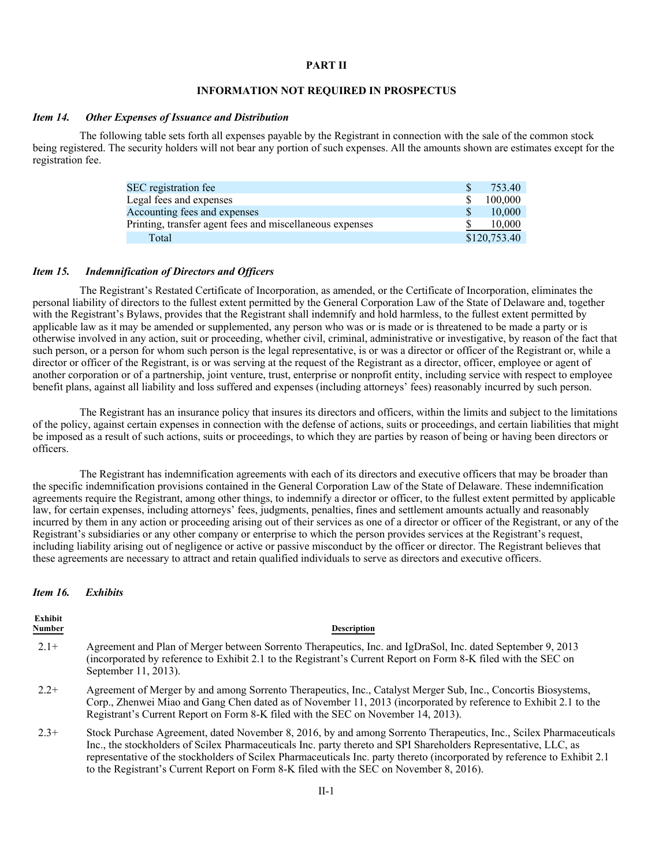#### **PART II**

#### **INFORMATION NOT REQUIRED IN PROSPECTUS**

#### *Item 14. Other Expenses of Issuance and Distribution*

The following table sets forth all expenses payable by the Registrant in connection with the sale of the common stock being registered. The security holders will not bear any portion of such expenses. All the amounts shown are estimates except for the registration fee.

| SEC registration fee                                     | 753.40       |
|----------------------------------------------------------|--------------|
| Legal fees and expenses                                  | 100,000      |
| Accounting fees and expenses                             | 10.000       |
| Printing, transfer agent fees and miscellaneous expenses | 10,000       |
| Total                                                    | \$120,753.40 |

#### *Item 15. Indemnification of Directors and Officers*

The Registrant's Restated Certificate of Incorporation, as amended, or the Certificate of Incorporation, eliminates the personal liability of directors to the fullest extent permitted by the General Corporation Law of the State of Delaware and, together with the Registrant's Bylaws, provides that the Registrant shall indemnify and hold harmless, to the fullest extent permitted by applicable law as it may be amended or supplemented, any person who was or is made or is threatened to be made a party or is otherwise involved in any action, suit or proceeding, whether civil, criminal, administrative or investigative, by reason of the fact that such person, or a person for whom such person is the legal representative, is or was a director or officer of the Registrant or, while a director or officer of the Registrant, is or was serving at the request of the Registrant as a director, officer, employee or agent of another corporation or of a partnership, joint venture, trust, enterprise or nonprofit entity, including service with respect to employee benefit plans, against all liability and loss suffered and expenses (including attorneys' fees) reasonably incurred by such person.

The Registrant has an insurance policy that insures its directors and officers, within the limits and subject to the limitations of the policy, against certain expenses in connection with the defense of actions, suits or proceedings, and certain liabilities that might be imposed as a result of such actions, suits or proceedings, to which they are parties by reason of being or having been directors or officers.

The Registrant has indemnification agreements with each of its directors and executive officers that may be broader than the specific indemnification provisions contained in the General Corporation Law of the State of Delaware. These indemnification agreements require the Registrant, among other things, to indemnify a director or officer, to the fullest extent permitted by applicable law, for certain expenses, including attorneys' fees, judgments, penalties, fines and settlement amounts actually and reasonably incurred by them in any action or proceeding arising out of their services as one of a director or officer of the Registrant, or any of the Registrant's subsidiaries or any other company or enterprise to which the person provides services at the Registrant's request, including liability arising out of negligence or active or passive misconduct by the officer or director. The Registrant believes that these agreements are necessary to attract and retain qualified individuals to serve as directors and executive officers.

#### *Item 16. Exhibits*

#### **Exhibit Number Description**  $2.1+$ Agreement and Plan of Merger between Sorrento Therapeutics, Inc. and IgDraSol, Inc. dated September 9, 2013 (incorporated by reference to Exhibit 2.1 to the Registrant's Current Report on Form 8-K filed with the SEC on September 11, 2013). 2.2+ Agreement of Merger by and among Sorrento Therapeutics, Inc., Catalyst Merger Sub, Inc., Concortis Biosystems, Corp., Zhenwei Miao and Gang Chen dated as of November 11, 2013 (incorporated by reference to Exhibit 2.1 to the Registrant's Current Report on Form 8-K filed with the SEC on November 14, 2013).

 $2.3+$ Stock Purchase Agreement, dated November 8, 2016, by and among Sorrento Therapeutics, Inc., Scilex Pharmaceuticals Inc., the stockholders of Scilex Pharmaceuticals Inc. party thereto and SPI Shareholders Representative, LLC, as representative of the stockholders of Scilex Pharmaceuticals Inc. party thereto (incorporated by reference to Exhibit 2.1 to the Registrant's Current Report on Form 8-K filed with the SEC on November 8, 2016).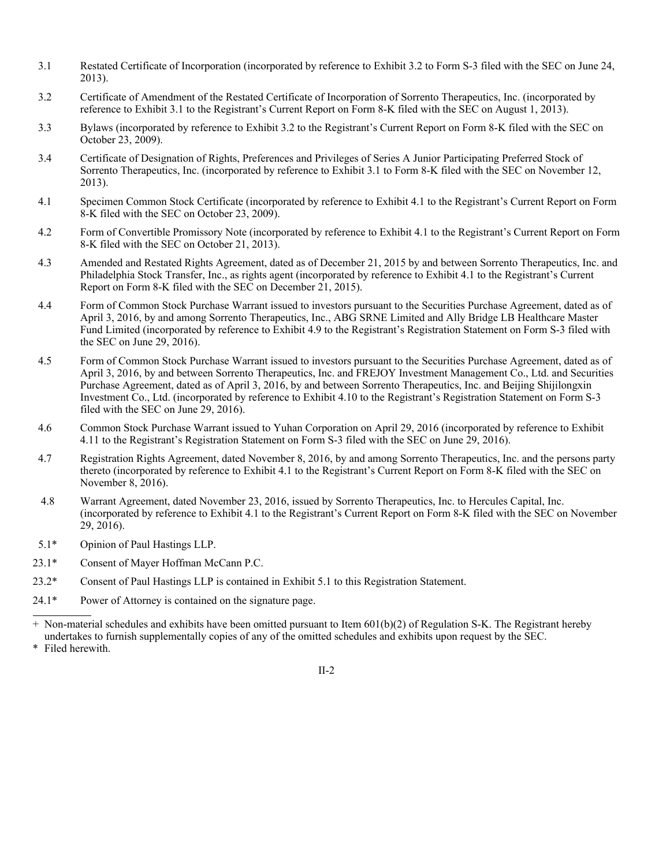- 3.1 Restated Certificate of Incorporation (incorporated by reference to Exhibit 3.2 to Form S-3 filed with the SEC on June 24, 2013).
- 3.2 Certificate of Amendment of the Restated Certificate of Incorporation of Sorrento Therapeutics, Inc. (incorporated by reference to Exhibit 3.1 to the Registrant's Current Report on Form 8-K filed with the SEC on August 1, 2013).
- 3.3 Bylaws (incorporated by reference to Exhibit 3.2 to the Registrant's Current Report on Form 8-K filed with the SEC on October 23, 2009).
- 3.4 Certificate of Designation of Rights, Preferences and Privileges of Series A Junior Participating Preferred Stock of Sorrento Therapeutics, Inc. (incorporated by reference to Exhibit 3.1 to Form 8-K filed with the SEC on November 12, 2013).
- 4.1 Specimen Common Stock Certificate (incorporated by reference to Exhibit 4.1 to the Registrant's Current Report on Form 8-K filed with the SEC on October 23, 2009).
- 4.2 Form of Convertible Promissory Note (incorporated by reference to Exhibit 4.1 to the Registrant's Current Report on Form 8-K filed with the SEC on October 21, 2013).
- 4.3 Amended and Restated Rights Agreement, dated as of December 21, 2015 by and between Sorrento Therapeutics, Inc. and Philadelphia Stock Transfer, Inc., as rights agent (incorporated by reference to Exhibit 4.1 to the Registrant's Current Report on Form 8-K filed with the SEC on December 21, 2015).
- 4.4 Form of Common Stock Purchase Warrant issued to investors pursuant to the Securities Purchase Agreement, dated as of April 3, 2016, by and among Sorrento Therapeutics, Inc., ABG SRNE Limited and Ally Bridge LB Healthcare Master Fund Limited (incorporated by reference to Exhibit 4.9 to the Registrant's Registration Statement on Form S-3 filed with the SEC on June 29, 2016).
- 4.5 Form of Common Stock Purchase Warrant issued to investors pursuant to the Securities Purchase Agreement, dated as of April 3, 2016, by and between Sorrento Therapeutics, Inc. and FREJOY Investment Management Co., Ltd. and Securities Purchase Agreement, dated as of April 3, 2016, by and between Sorrento Therapeutics, Inc. and Beijing Shijilongxin Investment Co., Ltd. (incorporated by reference to Exhibit 4.10 to the Registrant's Registration Statement on Form S-3 filed with the SEC on June 29, 2016).
- 4.6 Common Stock Purchase Warrant issued to Yuhan Corporation on April 29, 2016 (incorporated by reference to Exhibit 4.11 to the Registrant's Registration Statement on Form S-3 filed with the SEC on June 29, 2016).
- 4.7 Registration Rights Agreement, dated November 8, 2016, by and among Sorrento Therapeutics, Inc. and the persons party thereto (incorporated by reference to Exhibit 4.1 to the Registrant's Current Report on Form 8-K filed with the SEC on November 8, 2016).
- 4.8 Warrant Agreement, dated November 23, 2016, issued by Sorrento Therapeutics, Inc. to Hercules Capital, Inc. (incorporated by reference to Exhibit 4.1 to the Registrant's Current Report on Form 8-K filed with the SEC on November 29, 2016).
- 5.1\* Opinion of Paul Hastings LLP.
- 23.1\* Consent of Mayer Hoffman McCann P.C.
- 23.2\* Consent of Paul Hastings LLP is contained in Exhibit 5.1 to this Registration Statement.
- 24.1\* Power of Attorney is contained on the signature page.

+ Non-material schedules and exhibits have been omitted pursuant to Item 601(b)(2) of Regulation S-K. The Registrant hereby undertakes to furnish supplementally copies of any of the omitted schedules and exhibits upon request by the SEC.

Filed herewith.

#### II-2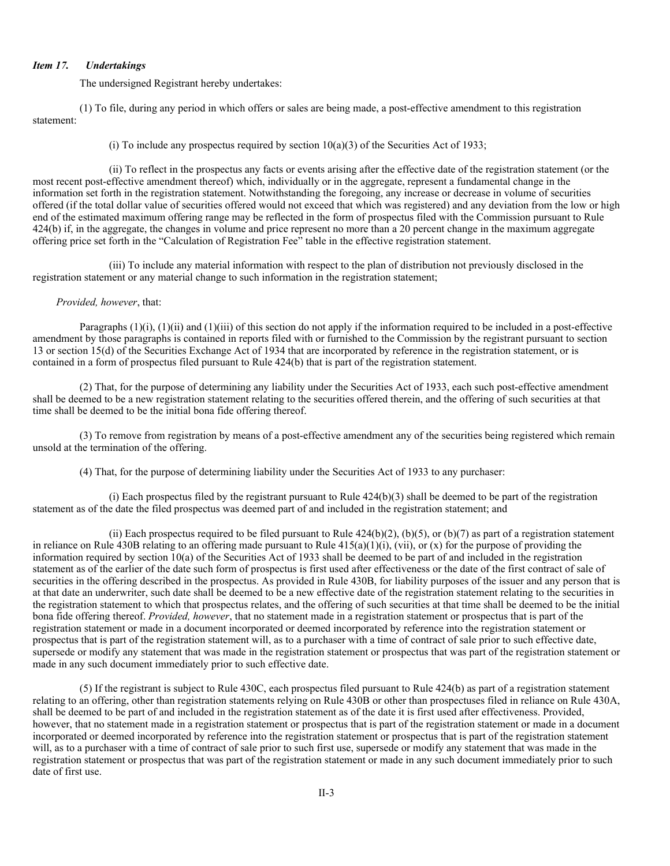#### *Item 17. Undertakings*

The undersigned Registrant hereby undertakes:

(1) To file, during any period in which offers or sales are being made, a post-effective amendment to this registration statement:

(i) To include any prospectus required by section  $10(a)(3)$  of the Securities Act of 1933;

(ii) To reflect in the prospectus any facts or events arising after the effective date of the registration statement (or the most recent post-effective amendment thereof) which, individually or in the aggregate, represent a fundamental change in the information set forth in the registration statement. Notwithstanding the foregoing, any increase or decrease in volume of securities offered (if the total dollar value of securities offered would not exceed that which was registered) and any deviation from the low or high end of the estimated maximum offering range may be reflected in the form of prospectus filed with the Commission pursuant to Rule 424(b) if, in the aggregate, the changes in volume and price represent no more than a 20 percent change in the maximum aggregate offering price set forth in the "Calculation of Registration Fee" table in the effective registration statement.

(iii) To include any material information with respect to the plan of distribution not previously disclosed in the registration statement or any material change to such information in the registration statement;

#### *Provided, however*, that:

Paragraphs  $(1)(i)$ ,  $(1)(ii)$  and  $(1)(iii)$  of this section do not apply if the information required to be included in a post-effective amendment by those paragraphs is contained in reports filed with or furnished to the Commission by the registrant pursuant to section 13 or section 15(d) of the Securities Exchange Act of 1934 that are incorporated by reference in the registration statement, or is contained in a form of prospectus filed pursuant to Rule 424(b) that is part of the registration statement.

(2) That, for the purpose of determining any liability under the Securities Act of 1933, each such post-effective amendment shall be deemed to be a new registration statement relating to the securities offered therein, and the offering of such securities at that time shall be deemed to be the initial bona fide offering thereof.

(3) To remove from registration by means of a post-effective amendment any of the securities being registered which remain unsold at the termination of the offering.

(4) That, for the purpose of determining liability under the Securities Act of 1933 to any purchaser:

(i) Each prospectus filed by the registrant pursuant to Rule  $424(b)(3)$  shall be deemed to be part of the registration statement as of the date the filed prospectus was deemed part of and included in the registration statement; and

(ii) Each prospectus required to be filed pursuant to Rule  $424(b)(2)$ , (b)(5), or (b)(7) as part of a registration statement in reliance on Rule 430B relating to an offering made pursuant to Rule  $415(a)(1)(i)$ , (vii), or (x) for the purpose of providing the information required by section 10(a) of the Securities Act of 1933 shall be deemed to be part of and included in the registration statement as of the earlier of the date such form of prospectus is first used after effectiveness or the date of the first contract of sale of securities in the offering described in the prospectus. As provided in Rule 430B, for liability purposes of the issuer and any person that is at that date an underwriter, such date shall be deemed to be a new effective date of the registration statement relating to the securities in the registration statement to which that prospectus relates, and the offering of such securities at that time shall be deemed to be the initial bona fide offering thereof. *Provided, however*, that no statement made in a registration statement or prospectus that is part of the registration statement or made in a document incorporated or deemed incorporated by reference into the registration statement or prospectus that is part of the registration statement will, as to a purchaser with a time of contract of sale prior to such effective date, supersede or modify any statement that was made in the registration statement or prospectus that was part of the registration statement or made in any such document immediately prior to such effective date.

(5) If the registrant is subject to Rule 430C, each prospectus filed pursuant to Rule 424(b) as part of a registration statement relating to an offering, other than registration statements relying on Rule 430B or other than prospectuses filed in reliance on Rule 430A, shall be deemed to be part of and included in the registration statement as of the date it is first used after effectiveness. Provided, however, that no statement made in a registration statement or prospectus that is part of the registration statement or made in a document incorporated or deemed incorporated by reference into the registration statement or prospectus that is part of the registration statement will, as to a purchaser with a time of contract of sale prior to such first use, supersede or modify any statement that was made in the registration statement or prospectus that was part of the registration statement or made in any such document immediately prior to such date of first use.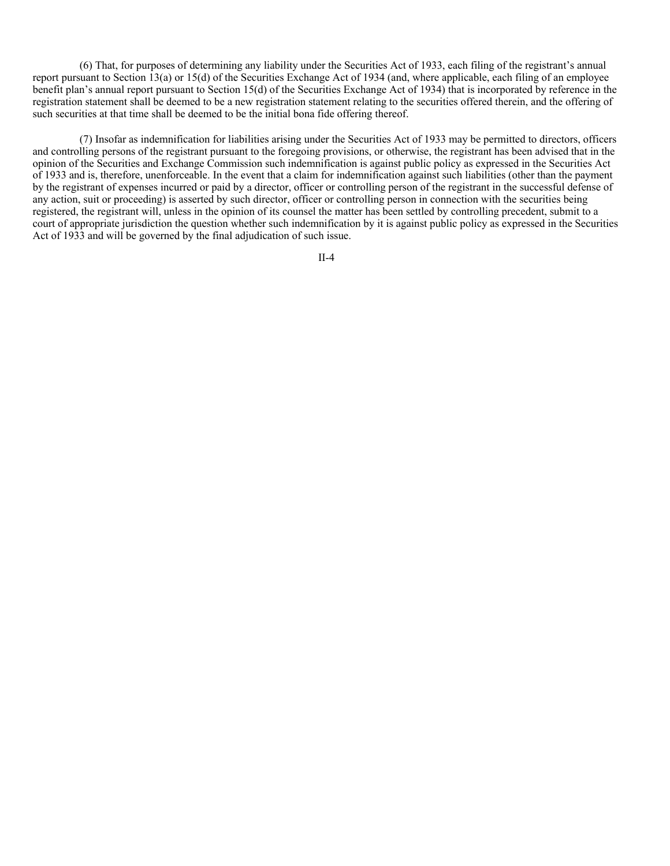(6) That, for purposes of determining any liability under the Securities Act of 1933, each filing of the registrant's annual report pursuant to Section 13(a) or 15(d) of the Securities Exchange Act of 1934 (and, where applicable, each filing of an employee benefit plan's annual report pursuant to Section 15(d) of the Securities Exchange Act of 1934) that is incorporated by reference in the registration statement shall be deemed to be a new registration statement relating to the securities offered therein, and the offering of such securities at that time shall be deemed to be the initial bona fide offering thereof.

(7) Insofar as indemnification for liabilities arising under the Securities Act of 1933 may be permitted to directors, officers and controlling persons of the registrant pursuant to the foregoing provisions, or otherwise, the registrant has been advised that in the opinion of the Securities and Exchange Commission such indemnification is against public policy as expressed in the Securities Act of 1933 and is, therefore, unenforceable. In the event that a claim for indemnification against such liabilities (other than the payment by the registrant of expenses incurred or paid by a director, officer or controlling person of the registrant in the successful defense of any action, suit or proceeding) is asserted by such director, officer or controlling person in connection with the securities being registered, the registrant will, unless in the opinion of its counsel the matter has been settled by controlling precedent, submit to a court of appropriate jurisdiction the question whether such indemnification by it is against public policy as expressed in the Securities Act of 1933 and will be governed by the final adjudication of such issue.

II-4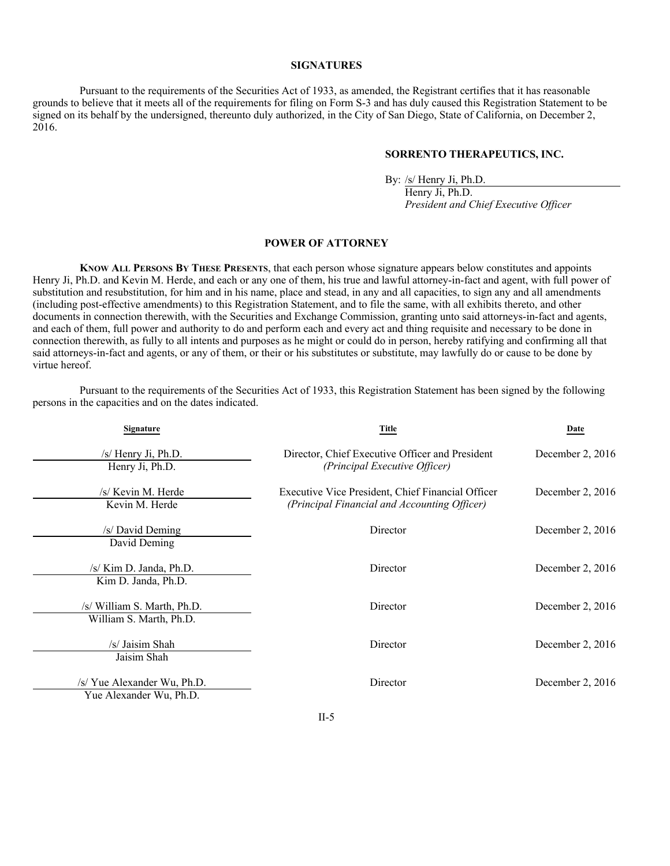#### **SIGNATURES**

Pursuant to the requirements of the Securities Act of 1933, as amended, the Registrant certifies that it has reasonable grounds to believe that it meets all of the requirements for filing on Form S-3 and has duly caused this Registration Statement to be signed on its behalf by the undersigned, thereunto duly authorized, in the City of San Diego, State of California, on December 2, 2016.

#### **SORRENTO THERAPEUTICS, INC.**

By: /s/ Henry Ji, Ph.D.

Henry Ji, Ph.D. *President and Chief Executive Officer*

#### **POWER OF ATTORNEY**

**KNOW ALL PERSONS BY THESE PRESENTS**, that each person whose signature appears below constitutes and appoints Henry Ji, Ph.D. and Kevin M. Herde, and each or any one of them, his true and lawful attorney-in-fact and agent, with full power of substitution and resubstitution, for him and in his name, place and stead, in any and all capacities, to sign any and all amendments (including post-effective amendments) to this Registration Statement, and to file the same, with all exhibits thereto, and other documents in connection therewith, with the Securities and Exchange Commission, granting unto said attorneys-in-fact and agents, and each of them, full power and authority to do and perform each and every act and thing requisite and necessary to be done in connection therewith, as fully to all intents and purposes as he might or could do in person, hereby ratifying and confirming all that said attorneys-in-fact and agents, or any of them, or their or his substitutes or substitute, may lawfully do or cause to be done by virtue hereof.

Pursuant to the requirements of the Securities Act of 1933, this Registration Statement has been signed by the following persons in the capacities and on the dates indicated.

| <b>Signature</b>                                       | <b>Title</b>                                                                                      | Date             |
|--------------------------------------------------------|---------------------------------------------------------------------------------------------------|------------------|
| /s/ Henry Ji, Ph.D.<br>Henry Ji, Ph.D.                 | Director, Chief Executive Officer and President<br>(Principal Executive Officer)                  | December 2, 2016 |
| /s/ Kevin M. Herde<br>Kevin M. Herde                   | Executive Vice President, Chief Financial Officer<br>(Principal Financial and Accounting Officer) | December 2, 2016 |
| /s/ David Deming<br>David Deming                       | Director                                                                                          | December 2, 2016 |
| /s/ Kim D. Janda, Ph.D.<br>Kim D. Janda, Ph.D.         | Director                                                                                          | December 2, 2016 |
| /s/ William S. Marth, Ph.D.<br>William S. Marth, Ph.D. | Director                                                                                          | December 2, 2016 |
| /s/ Jaisim Shah<br>Jaisim Shah                         | Director                                                                                          | December 2, 2016 |
| /s/ Yue Alexander Wu, Ph.D.<br>Yue Alexander Wu, Ph.D. | Director                                                                                          | December 2, 2016 |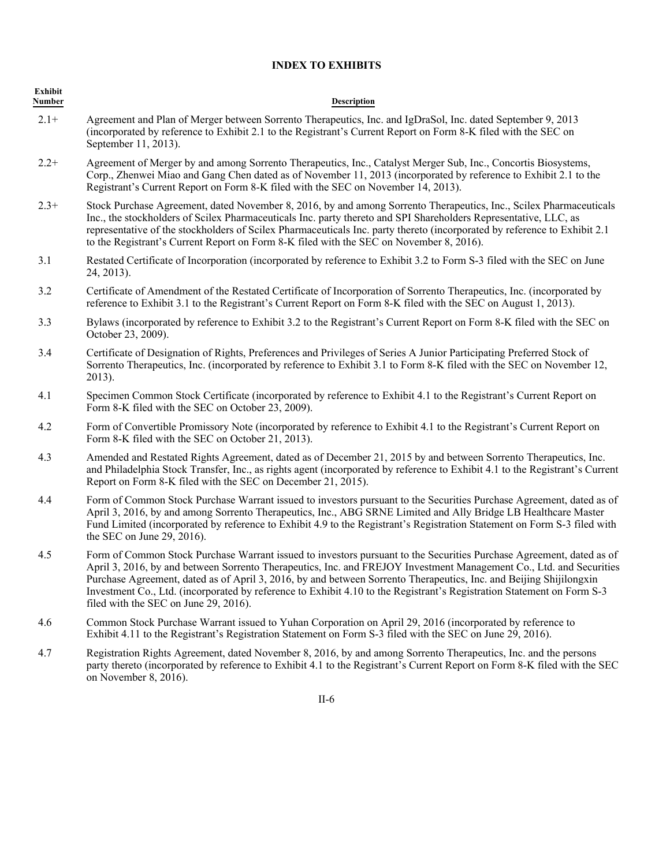#### **INDEX TO EXHIBITS**

| <b>Exhibit</b><br>Number | <b>Description</b>                                                                                                                                                                                                                                                                                                                                                                                                                                                                                                                   |  |
|--------------------------|--------------------------------------------------------------------------------------------------------------------------------------------------------------------------------------------------------------------------------------------------------------------------------------------------------------------------------------------------------------------------------------------------------------------------------------------------------------------------------------------------------------------------------------|--|
| $2.1+$                   | Agreement and Plan of Merger between Sorrento Therapeutics, Inc. and IgDraSol, Inc. dated September 9, 2013<br>(incorporated by reference to Exhibit 2.1 to the Registrant's Current Report on Form 8-K filed with the SEC on<br>September 11, 2013).                                                                                                                                                                                                                                                                                |  |
| $2.2+$                   | Agreement of Merger by and among Sorrento Therapeutics, Inc., Catalyst Merger Sub, Inc., Concortis Biosystems,<br>Corp., Zhenwei Miao and Gang Chen dated as of November 11, 2013 (incorporated by reference to Exhibit 2.1 to the<br>Registrant's Current Report on Form 8-K filed with the SEC on November 14, 2013).                                                                                                                                                                                                              |  |
| $2.3+$                   | Stock Purchase Agreement, dated November 8, 2016, by and among Sorrento Therapeutics, Inc., Scilex Pharmaceuticals<br>Inc., the stockholders of Scilex Pharmaceuticals Inc. party thereto and SPI Shareholders Representative, LLC, as<br>representative of the stockholders of Scilex Pharmaceuticals Inc. party thereto (incorporated by reference to Exhibit 2.1)<br>to the Registrant's Current Report on Form 8-K filed with the SEC on November 8, 2016).                                                                      |  |
| 3.1                      | Restated Certificate of Incorporation (incorporated by reference to Exhibit 3.2 to Form S-3 filed with the SEC on June<br>24, 2013).                                                                                                                                                                                                                                                                                                                                                                                                 |  |
| 3.2                      | Certificate of Amendment of the Restated Certificate of Incorporation of Sorrento Therapeutics, Inc. (incorporated by<br>reference to Exhibit 3.1 to the Registrant's Current Report on Form 8-K filed with the SEC on August 1, 2013).                                                                                                                                                                                                                                                                                              |  |
| 3.3                      | Bylaws (incorporated by reference to Exhibit 3.2 to the Registrant's Current Report on Form 8-K filed with the SEC on<br>October 23, 2009).                                                                                                                                                                                                                                                                                                                                                                                          |  |
| 3.4                      | Certificate of Designation of Rights, Preferences and Privileges of Series A Junior Participating Preferred Stock of<br>Sorrento Therapeutics, Inc. (incorporated by reference to Exhibit 3.1 to Form 8-K filed with the SEC on November 12,<br>$2013$ ).                                                                                                                                                                                                                                                                            |  |
| 4.1                      | Specimen Common Stock Certificate (incorporated by reference to Exhibit 4.1 to the Registrant's Current Report on<br>Form 8-K filed with the SEC on October 23, 2009).                                                                                                                                                                                                                                                                                                                                                               |  |
| 4.2                      | Form of Convertible Promissory Note (incorporated by reference to Exhibit 4.1 to the Registrant's Current Report on<br>Form 8-K filed with the SEC on October 21, 2013).                                                                                                                                                                                                                                                                                                                                                             |  |
| 4.3                      | Amended and Restated Rights Agreement, dated as of December 21, 2015 by and between Sorrento Therapeutics, Inc.<br>and Philadelphia Stock Transfer, Inc., as rights agent (incorporated by reference to Exhibit 4.1 to the Registrant's Current<br>Report on Form 8-K filed with the SEC on December 21, 2015).                                                                                                                                                                                                                      |  |
| 4.4                      | Form of Common Stock Purchase Warrant issued to investors pursuant to the Securities Purchase Agreement, dated as of<br>April 3, 2016, by and among Sorrento Therapeutics, Inc., ABG SRNE Limited and Ally Bridge LB Healthcare Master<br>Fund Limited (incorporated by reference to Exhibit 4.9 to the Registrant's Registration Statement on Form S-3 filed with<br>the SEC on June 29, 2016).                                                                                                                                     |  |
| 4.5                      | Form of Common Stock Purchase Warrant issued to investors pursuant to the Securities Purchase Agreement, dated as of<br>April 3, 2016, by and between Sorrento Therapeutics, Inc. and FREJOY Investment Management Co., Ltd. and Securities<br>Purchase Agreement, dated as of April 3, 2016, by and between Sorrento Therapeutics, Inc. and Beijing Shijilongxin<br>Investment Co., Ltd. (incorporated by reference to Exhibit 4.10 to the Registrant's Registration Statement on Form S-3<br>filed with the SEC on June 29, 2016). |  |
| 4.6                      | Common Stock Purchase Warrant issued to Yuhan Corporation on April 29, 2016 (incorporated by reference to<br>Exhibit 4.11 to the Registrant's Registration Statement on Form S-3 filed with the SEC on June 29, 2016).                                                                                                                                                                                                                                                                                                               |  |
| 4.7                      | Registration Rights Agreement, dated November 8, 2016, by and among Sorrento Therapeutics, Inc. and the persons<br>party thereto (incorporated by reference to Exhibit 4.1 to the Registrant's Current Report on Form 8-K filed with the SEC<br>on November 8, 2016).                                                                                                                                                                                                                                                                |  |
| $II-6$                   |                                                                                                                                                                                                                                                                                                                                                                                                                                                                                                                                      |  |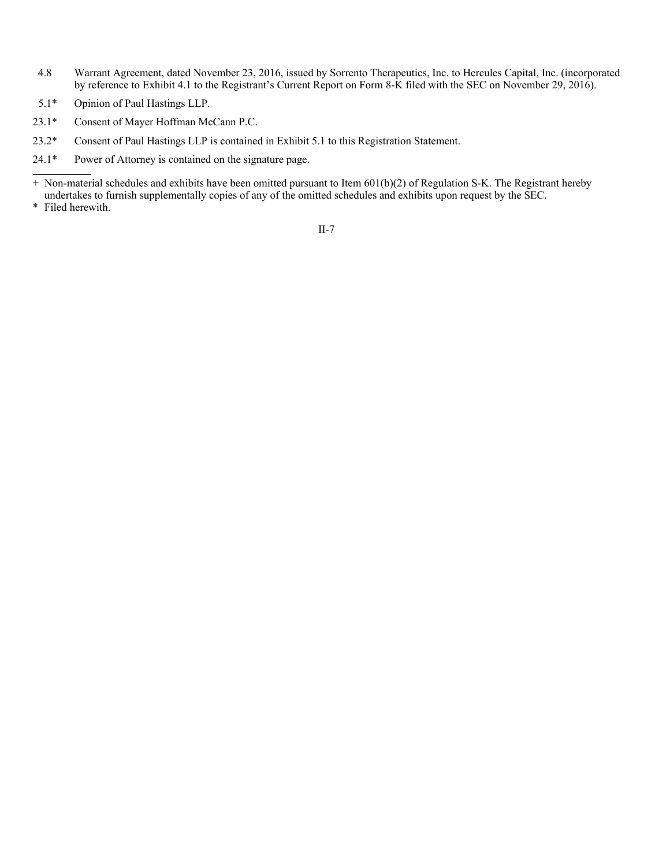- 4.8 Warrant Agreement, dated November 23, 2016, issued by Sorrento Therapeutics, Inc. to Hercules Capital, Inc. (incorporated by reference to Exhibit 4.1 to the Registrant's Current Report on Form 8-K filed with the SEC on November 29, 2016).
- 5.1\* Opinion of Paul Hastings LLP.
- 23.1\* Consent of Mayer Hoffman McCann P.C.
- 23.2\* Consent of Paul Hastings LLP is contained in Exhibit 5.1 to this Registration Statement.
- 24.1\* Power of Attorney is contained on the signature page.
- + Non-material schedules and exhibits have been omitted pursuant to Item 601(b)(2) of Regulation S-K. The Registrant hereby undertakes to furnish supplementally copies of any of the omitted schedules and exhibits upon request by the SEC.
- \* Filed herewith.

#### II-7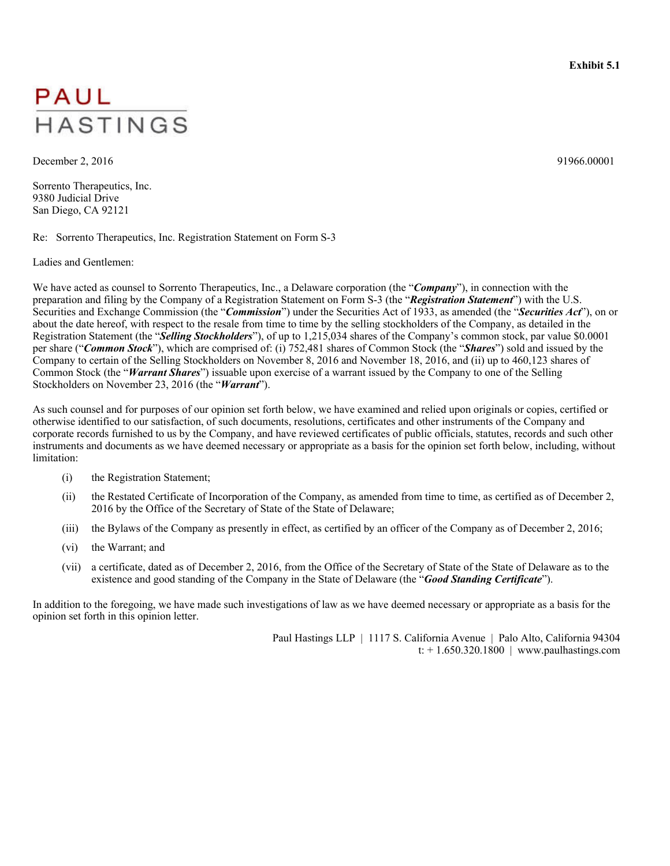#### **Exhibit 5.1**

# PAUL

December 2, 2016 91966.00001

Sorrento Therapeutics, Inc. 9380 Judicial Drive San Diego, CA 92121

Re: Sorrento Therapeutics, Inc. Registration Statement on Form S-3

Ladies and Gentlemen:

We have acted as counsel to Sorrento Therapeutics, Inc., a Delaware corporation (the "*Company*"), in connection with the preparation and filing by the Company of a Registration Statement on Form S-3 (the "*Registration Statement*") with the U.S. Securities and Exchange Commission (the "*Commission*") under the Securities Act of 1933, as amended (the "*Securities Act*"), on or about the date hereof, with respect to the resale from time to time by the selling stockholders of the Company, as detailed in the Registration Statement (the "*Selling Stockholders*"), of up to 1,215,034 shares of the Company's common stock, par value \$0.0001 per share ("*Common Stock*"), which are comprised of: (i) 752,481 shares of Common Stock (the "*Shares*") sold and issued by the Company to certain of the Selling Stockholders on November 8, 2016 and November 18, 2016, and (ii) up to 460,123 shares of Common Stock (the "*Warrant Shares*") issuable upon exercise of a warrant issued by the Company to one of the Selling Stockholders on November 23, 2016 (the "*Warrant*").

As such counsel and for purposes of our opinion set forth below, we have examined and relied upon originals or copies, certified or otherwise identified to our satisfaction, of such documents, resolutions, certificates and other instruments of the Company and corporate records furnished to us by the Company, and have reviewed certificates of public officials, statutes, records and such other instruments and documents as we have deemed necessary or appropriate as a basis for the opinion set forth below, including, without limitation:

- (i) the Registration Statement;
- (ii) the Restated Certificate of Incorporation of the Company, as amended from time to time, as certified as of December 2, 2016 by the Office of the Secretary of State of the State of Delaware;
- (iii) the Bylaws of the Company as presently in effect, as certified by an officer of the Company as of December 2, 2016;
- (vi) the Warrant; and
- (vii) a certificate, dated as of December 2, 2016, from the Office of the Secretary of State of the State of Delaware as to the existence and good standing of the Company in the State of Delaware (the "*Good Standing Certificate*").

In addition to the foregoing, we have made such investigations of law as we have deemed necessary or appropriate as a basis for the opinion set forth in this opinion letter.

> Paul Hastings LLP | 1117 S. California Avenue | Palo Alto, California 94304 t: + 1.650.320.1800 | www.paulhastings.com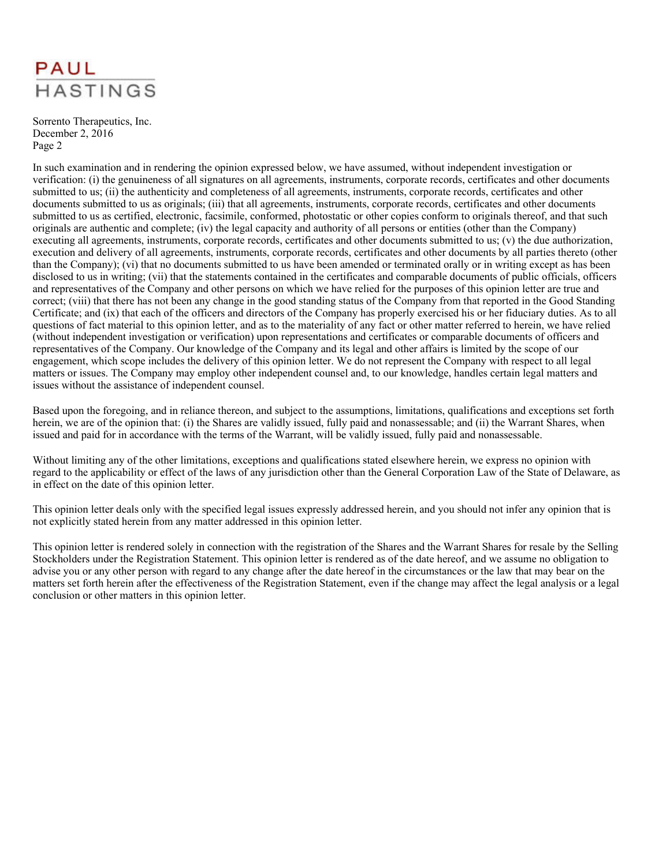## PAUL HASTINGS

Sorrento Therapeutics, Inc. December 2, 2016 Page 2

In such examination and in rendering the opinion expressed below, we have assumed, without independent investigation or verification: (i) the genuineness of all signatures on all agreements, instruments, corporate records, certificates and other documents submitted to us; (ii) the authenticity and completeness of all agreements, instruments, corporate records, certificates and other documents submitted to us as originals; (iii) that all agreements, instruments, corporate records, certificates and other documents submitted to us as certified, electronic, facsimile, conformed, photostatic or other copies conform to originals thereof, and that such originals are authentic and complete; (iv) the legal capacity and authority of all persons or entities (other than the Company) executing all agreements, instruments, corporate records, certificates and other documents submitted to us; (v) the due authorization, execution and delivery of all agreements, instruments, corporate records, certificates and other documents by all parties thereto (other than the Company); (vi) that no documents submitted to us have been amended or terminated orally or in writing except as has been disclosed to us in writing; (vii) that the statements contained in the certificates and comparable documents of public officials, officers and representatives of the Company and other persons on which we have relied for the purposes of this opinion letter are true and correct; (viii) that there has not been any change in the good standing status of the Company from that reported in the Good Standing Certificate; and (ix) that each of the officers and directors of the Company has properly exercised his or her fiduciary duties. As to all questions of fact material to this opinion letter, and as to the materiality of any fact or other matter referred to herein, we have relied (without independent investigation or verification) upon representations and certificates or comparable documents of officers and representatives of the Company. Our knowledge of the Company and its legal and other affairs is limited by the scope of our engagement, which scope includes the delivery of this opinion letter. We do not represent the Company with respect to all legal matters or issues. The Company may employ other independent counsel and, to our knowledge, handles certain legal matters and issues without the assistance of independent counsel.

Based upon the foregoing, and in reliance thereon, and subject to the assumptions, limitations, qualifications and exceptions set forth herein, we are of the opinion that: (i) the Shares are validly issued, fully paid and nonassessable; and (ii) the Warrant Shares, when issued and paid for in accordance with the terms of the Warrant, will be validly issued, fully paid and nonassessable.

Without limiting any of the other limitations, exceptions and qualifications stated elsewhere herein, we express no opinion with regard to the applicability or effect of the laws of any jurisdiction other than the General Corporation Law of the State of Delaware, as in effect on the date of this opinion letter.

This opinion letter deals only with the specified legal issues expressly addressed herein, and you should not infer any opinion that is not explicitly stated herein from any matter addressed in this opinion letter.

This opinion letter is rendered solely in connection with the registration of the Shares and the Warrant Shares for resale by the Selling Stockholders under the Registration Statement. This opinion letter is rendered as of the date hereof, and we assume no obligation to advise you or any other person with regard to any change after the date hereof in the circumstances or the law that may bear on the matters set forth herein after the effectiveness of the Registration Statement, even if the change may affect the legal analysis or a legal conclusion or other matters in this opinion letter.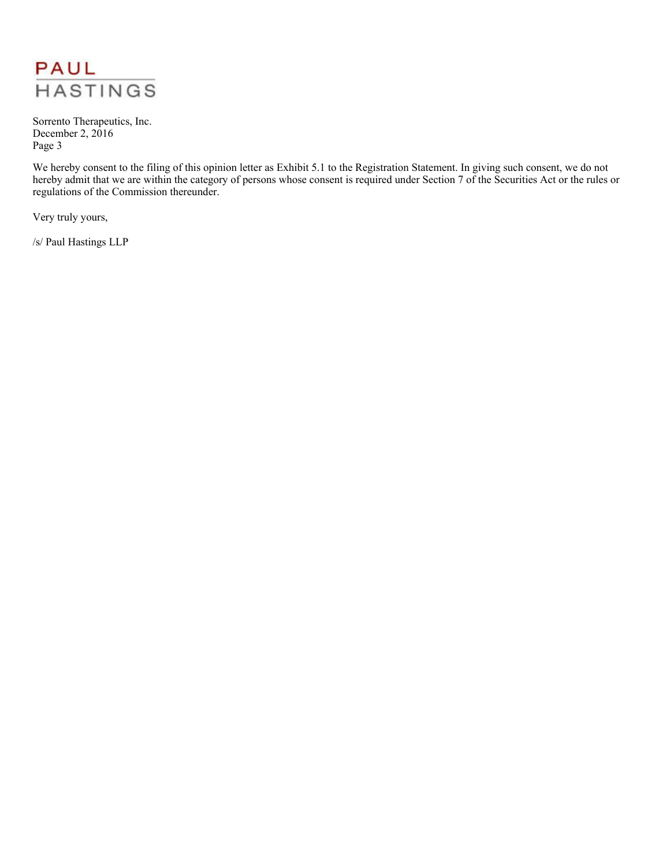

Sorrento Therapeutics, Inc. December 2, 2016 Page 3

We hereby consent to the filing of this opinion letter as Exhibit 5.1 to the Registration Statement. In giving such consent, we do not hereby admit that we are within the category of persons whose consent is required under Section 7 of the Securities Act or the rules or regulations of the Commission thereunder.

Very truly yours,

/s/ Paul Hastings LLP